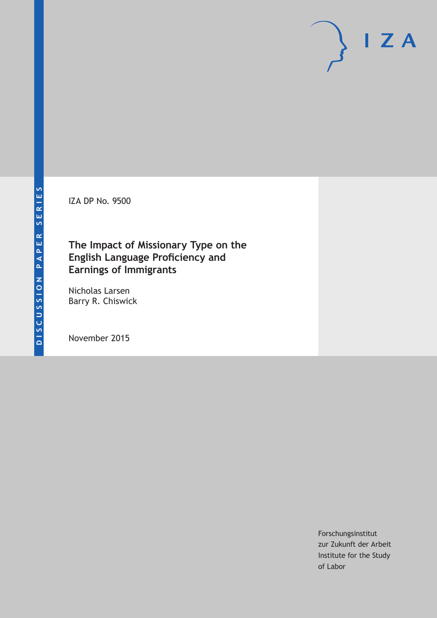IZA DP No. 9500

# **The Impact of Missionary Type on the English Language Proficiency and Earnings of Immigrants**

Nicholas Larsen Barry R. Chiswick

November 2015

Forschungsinstitut zur Zukunft der Arbeit Institute for the Study of Labor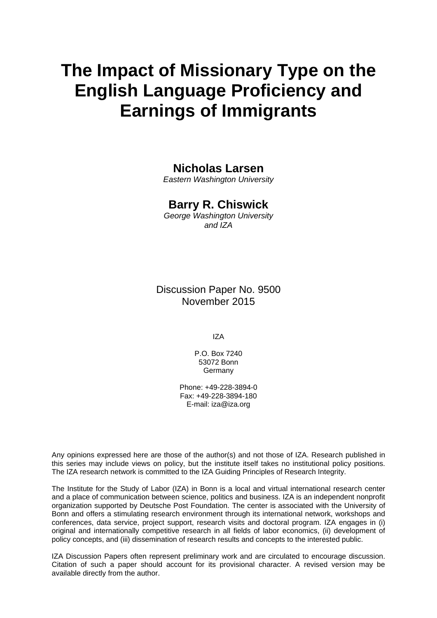# **The Impact of Missionary Type on the English Language Proficiency and Earnings of Immigrants**

# **Nicholas Larsen**

*Eastern Washington University* 

# **Barry R. Chiswick**

*George Washington University and IZA* 

Discussion Paper No. 9500 November 2015

IZA

P.O. Box 7240 53072 Bonn Germany

Phone: +49-228-3894-0 Fax: +49-228-3894-180 E-mail: iza@iza.org

Any opinions expressed here are those of the author(s) and not those of IZA. Research published in this series may include views on policy, but the institute itself takes no institutional policy positions. The IZA research network is committed to the IZA Guiding Principles of Research Integrity.

The Institute for the Study of Labor (IZA) in Bonn is a local and virtual international research center and a place of communication between science, politics and business. IZA is an independent nonprofit organization supported by Deutsche Post Foundation. The center is associated with the University of Bonn and offers a stimulating research environment through its international network, workshops and conferences, data service, project support, research visits and doctoral program. IZA engages in (i) original and internationally competitive research in all fields of labor economics, (ii) development of policy concepts, and (iii) dissemination of research results and concepts to the interested public.

IZA Discussion Papers often represent preliminary work and are circulated to encourage discussion. Citation of such a paper should account for its provisional character. A revised version may be available directly from the author.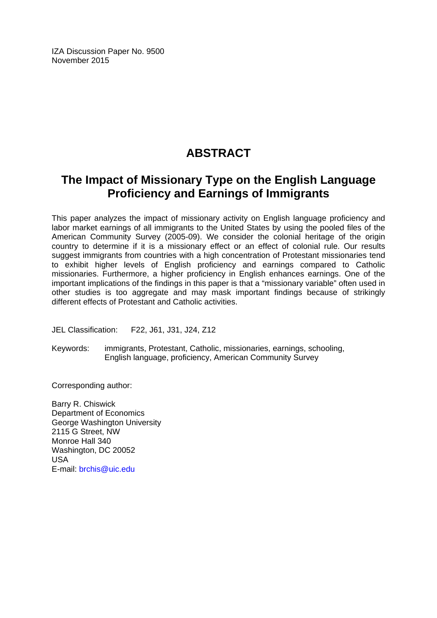IZA Discussion Paper No. 9500 November 2015

# **ABSTRACT**

# **The Impact of Missionary Type on the English Language Proficiency and Earnings of Immigrants**

This paper analyzes the impact of missionary activity on English language proficiency and labor market earnings of all immigrants to the United States by using the pooled files of the American Community Survey (2005-09). We consider the colonial heritage of the origin country to determine if it is a missionary effect or an effect of colonial rule. Our results suggest immigrants from countries with a high concentration of Protestant missionaries tend to exhibit higher levels of English proficiency and earnings compared to Catholic missionaries. Furthermore, a higher proficiency in English enhances earnings. One of the important implications of the findings in this paper is that a "missionary variable" often used in other studies is too aggregate and may mask important findings because of strikingly different effects of Protestant and Catholic activities.

JEL Classification: F22, J61, J31, J24, Z12

Keywords: immigrants, Protestant, Catholic, missionaries, earnings, schooling, English language, proficiency, American Community Survey

Corresponding author:

Barry R. Chiswick Department of Economics George Washington University 2115 G Street, NW Monroe Hall 340 Washington, DC 20052 USA E-mail: brchis@uic.edu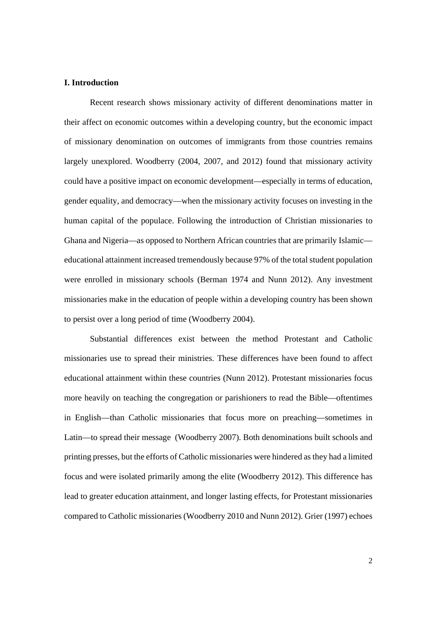#### **I. Introduction**

 Recent research shows missionary activity of different denominations matter in their affect on economic outcomes within a developing country, but the economic impact of missionary denomination on outcomes of immigrants from those countries remains largely unexplored. Woodberry (2004, 2007, and 2012) found that missionary activity could have a positive impact on economic development—especially in terms of education, gender equality, and democracy—when the missionary activity focuses on investing in the human capital of the populace. Following the introduction of Christian missionaries to Ghana and Nigeria—as opposed to Northern African countries that are primarily Islamic educational attainment increased tremendously because 97% of the total student population were enrolled in missionary schools (Berman 1974 and Nunn 2012). Any investment missionaries make in the education of people within a developing country has been shown to persist over a long period of time (Woodberry 2004).

 Substantial differences exist between the method Protestant and Catholic missionaries use to spread their ministries. These differences have been found to affect educational attainment within these countries (Nunn 2012). Protestant missionaries focus more heavily on teaching the congregation or parishioners to read the Bible—oftentimes in English—than Catholic missionaries that focus more on preaching—sometimes in Latin—to spread their message (Woodberry 2007). Both denominations built schools and printing presses, but the efforts of Catholic missionaries were hindered as they had a limited focus and were isolated primarily among the elite (Woodberry 2012). This difference has lead to greater education attainment, and longer lasting effects, for Protestant missionaries compared to Catholic missionaries (Woodberry 2010 and Nunn 2012). Grier (1997) echoes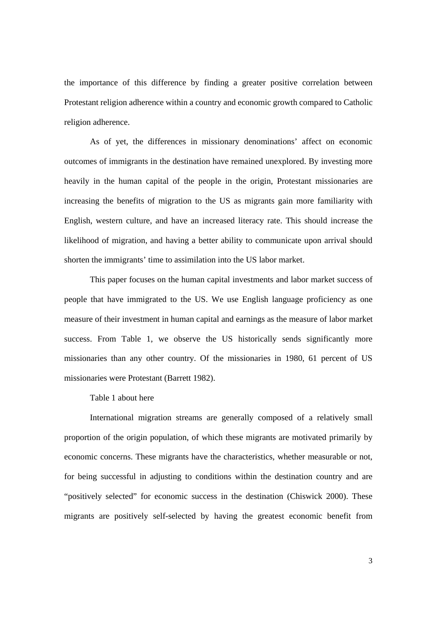the importance of this difference by finding a greater positive correlation between Protestant religion adherence within a country and economic growth compared to Catholic religion adherence.

 As of yet, the differences in missionary denominations' affect on economic outcomes of immigrants in the destination have remained unexplored. By investing more heavily in the human capital of the people in the origin, Protestant missionaries are increasing the benefits of migration to the US as migrants gain more familiarity with English, western culture, and have an increased literacy rate. This should increase the likelihood of migration, and having a better ability to communicate upon arrival should shorten the immigrants' time to assimilation into the US labor market.

This paper focuses on the human capital investments and labor market success of people that have immigrated to the US. We use English language proficiency as one measure of their investment in human capital and earnings as the measure of labor market success. From Table 1, we observe the US historically sends significantly more missionaries than any other country. Of the missionaries in 1980, 61 percent of US missionaries were Protestant (Barrett 1982).

Table 1 about here

 International migration streams are generally composed of a relatively small proportion of the origin population, of which these migrants are motivated primarily by economic concerns. These migrants have the characteristics, whether measurable or not, for being successful in adjusting to conditions within the destination country and are "positively selected" for economic success in the destination (Chiswick 2000). These migrants are positively self-selected by having the greatest economic benefit from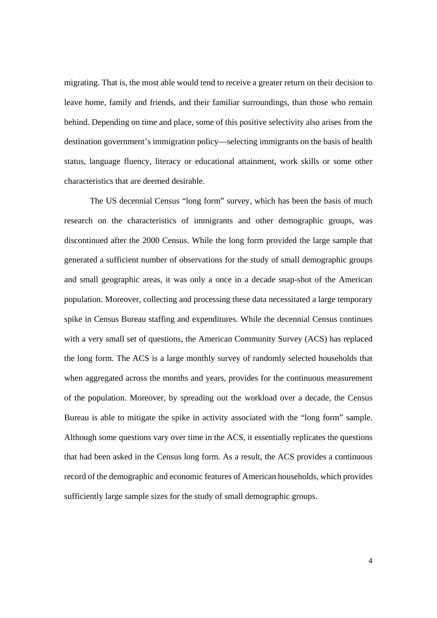migrating. That is, the most able would tend to receive a greater return on their decision to leave home, family and friends, and their familiar surroundings, than those who remain behind. Depending on time and place, some of this positive selectivity also arises from the destination government's immigration policy—selecting immigrants on the basis of health status, language fluency, literacy or educational attainment, work skills or some other characteristics that are deemed desirable.

 The US decennial Census "long form" survey, which has been the basis of much research on the characteristics of immigrants and other demographic groups, was discontinued after the 2000 Census. While the long form provided the large sample that generated a sufficient number of observations for the study of small demographic groups and small geographic areas, it was only a once in a decade snap-shot of the American population. Moreover, collecting and processing these data necessitated a large temporary spike in Census Bureau staffing and expenditures. While the decennial Census continues with a very small set of questions, the American Community Survey (ACS) has replaced the long form. The ACS is a large monthly survey of randomly selected households that when aggregated across the months and years, provides for the continuous measurement of the population. Moreover, by spreading out the workload over a decade, the Census Bureau is able to mitigate the spike in activity associated with the "long form" sample. Although some questions vary over time in the ACS, it essentially replicates the questions that had been asked in the Census long form. As a result, the ACS provides a continuous record of the demographic and economic features of American households, which provides sufficiently large sample sizes for the study of small demographic groups.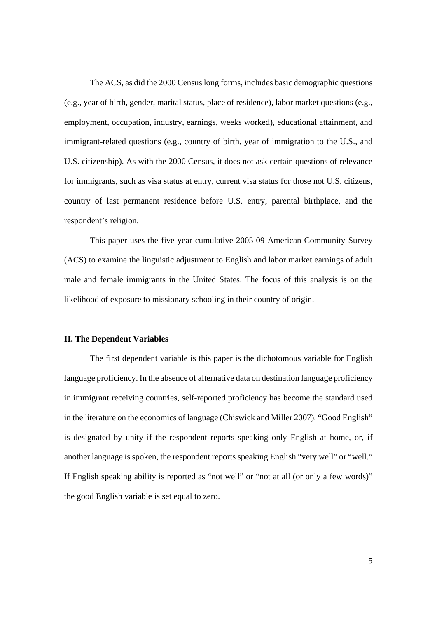The ACS, as did the 2000 Census long forms, includes basic demographic questions (e.g., year of birth, gender, marital status, place of residence), labor market questions (e.g., employment, occupation, industry, earnings, weeks worked), educational attainment, and immigrant-related questions (e.g., country of birth, year of immigration to the U.S., and U.S. citizenship). As with the 2000 Census, it does not ask certain questions of relevance for immigrants, such as visa status at entry, current visa status for those not U.S. citizens, country of last permanent residence before U.S. entry, parental birthplace, and the respondent's religion.

This paper uses the five year cumulative 2005-09 American Community Survey (ACS) to examine the linguistic adjustment to English and labor market earnings of adult male and female immigrants in the United States. The focus of this analysis is on the likelihood of exposure to missionary schooling in their country of origin.

## **II. The Dependent Variables**

 The first dependent variable is this paper is the dichotomous variable for English language proficiency. In the absence of alternative data on destination language proficiency in immigrant receiving countries, self-reported proficiency has become the standard used in the literature on the economics of language (Chiswick and Miller 2007). "Good English" is designated by unity if the respondent reports speaking only English at home, or, if another language is spoken, the respondent reports speaking English "very well" or "well." If English speaking ability is reported as "not well" or "not at all (or only a few words)" the good English variable is set equal to zero.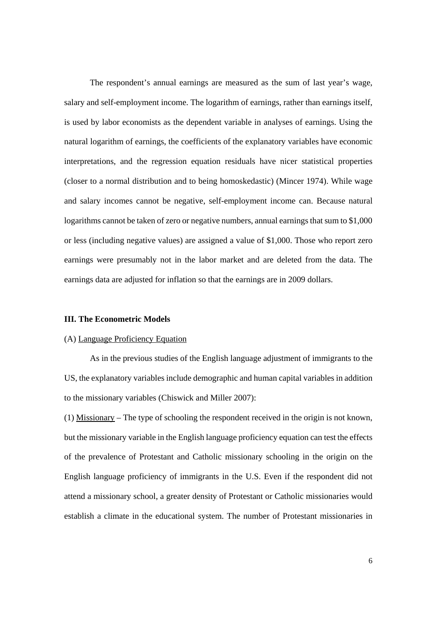The respondent's annual earnings are measured as the sum of last year's wage, salary and self-employment income. The logarithm of earnings, rather than earnings itself, is used by labor economists as the dependent variable in analyses of earnings. Using the natural logarithm of earnings, the coefficients of the explanatory variables have economic interpretations, and the regression equation residuals have nicer statistical properties (closer to a normal distribution and to being homoskedastic) (Mincer 1974). While wage and salary incomes cannot be negative, self-employment income can. Because natural logarithms cannot be taken of zero or negative numbers, annual earnings that sum to \$1,000 or less (including negative values) are assigned a value of \$1,000. Those who report zero earnings were presumably not in the labor market and are deleted from the data. The earnings data are adjusted for inflation so that the earnings are in 2009 dollars.

#### **III. The Econometric Models**

## (A) Language Proficiency Equation

 As in the previous studies of the English language adjustment of immigrants to the US, the explanatory variables include demographic and human capital variables in addition to the missionary variables (Chiswick and Miller 2007):

(1) Missionary – The type of schooling the respondent received in the origin is not known, but the missionary variable in the English language proficiency equation can test the effects of the prevalence of Protestant and Catholic missionary schooling in the origin on the English language proficiency of immigrants in the U.S. Even if the respondent did not attend a missionary school, a greater density of Protestant or Catholic missionaries would establish a climate in the educational system. The number of Protestant missionaries in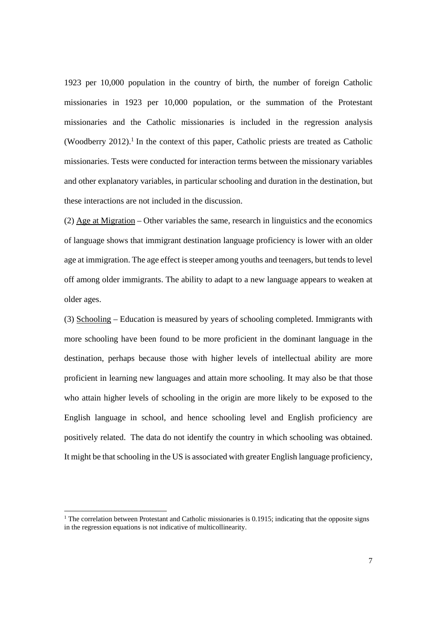1923 per 10,000 population in the country of birth, the number of foreign Catholic missionaries in 1923 per 10,000 population, or the summation of the Protestant missionaries and the Catholic missionaries is included in the regression analysis (Woodberry 2012).<sup>1</sup> In the context of this paper, Catholic priests are treated as Catholic missionaries. Tests were conducted for interaction terms between the missionary variables and other explanatory variables, in particular schooling and duration in the destination, but these interactions are not included in the discussion.

(2) Age at Migration – Other variables the same, research in linguistics and the economics of language shows that immigrant destination language proficiency is lower with an older age at immigration. The age effect is steeper among youths and teenagers, but tends to level off among older immigrants. The ability to adapt to a new language appears to weaken at older ages.

(3) Schooling – Education is measured by years of schooling completed. Immigrants with more schooling have been found to be more proficient in the dominant language in the destination, perhaps because those with higher levels of intellectual ability are more proficient in learning new languages and attain more schooling. It may also be that those who attain higher levels of schooling in the origin are more likely to be exposed to the English language in school, and hence schooling level and English proficiency are positively related. The data do not identify the country in which schooling was obtained. It might be that schooling in the US is associated with greater English language proficiency,

 

<sup>&</sup>lt;sup>1</sup> The correlation between Protestant and Catholic missionaries is 0.1915; indicating that the opposite signs in the regression equations is not indicative of multicollinearity.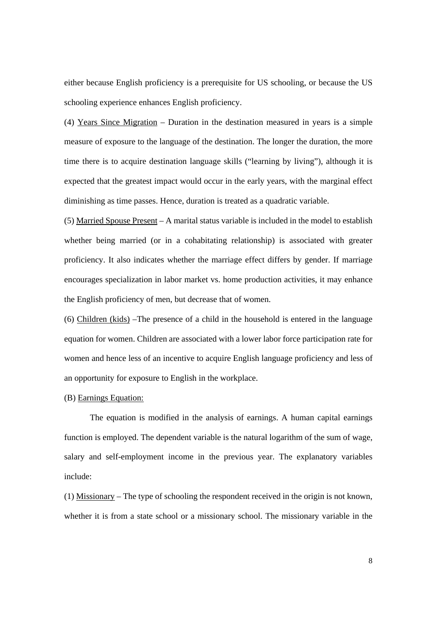either because English proficiency is a prerequisite for US schooling, or because the US schooling experience enhances English proficiency.

(4) Years Since Migration – Duration in the destination measured in years is a simple measure of exposure to the language of the destination. The longer the duration, the more time there is to acquire destination language skills ("learning by living"), although it is expected that the greatest impact would occur in the early years, with the marginal effect diminishing as time passes. Hence, duration is treated as a quadratic variable.

(5) Married Spouse Present – A marital status variable is included in the model to establish whether being married (or in a cohabitating relationship) is associated with greater proficiency. It also indicates whether the marriage effect differs by gender. If marriage encourages specialization in labor market vs. home production activities, it may enhance the English proficiency of men, but decrease that of women.

(6) Children (kids) –The presence of a child in the household is entered in the language equation for women. Children are associated with a lower labor force participation rate for women and hence less of an incentive to acquire English language proficiency and less of an opportunity for exposure to English in the workplace.

# (B) Earnings Equation:

 The equation is modified in the analysis of earnings. A human capital earnings function is employed. The dependent variable is the natural logarithm of the sum of wage, salary and self-employment income in the previous year. The explanatory variables include:

(1) Missionary – The type of schooling the respondent received in the origin is not known, whether it is from a state school or a missionary school. The missionary variable in the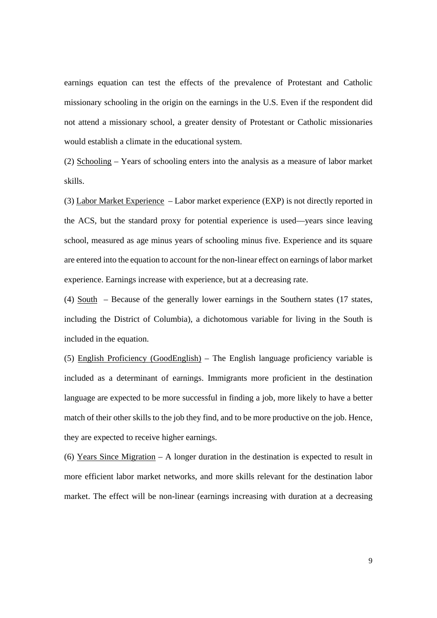earnings equation can test the effects of the prevalence of Protestant and Catholic missionary schooling in the origin on the earnings in the U.S. Even if the respondent did not attend a missionary school, a greater density of Protestant or Catholic missionaries would establish a climate in the educational system.

(2) Schooling – Years of schooling enters into the analysis as a measure of labor market skills.

(3) Labor Market Experience – Labor market experience (EXP) is not directly reported in the ACS, but the standard proxy for potential experience is used—years since leaving school, measured as age minus years of schooling minus five. Experience and its square are entered into the equation to account for the non-linear effect on earnings of labor market experience. Earnings increase with experience, but at a decreasing rate.

(4)  $South - Because of the generally lower earnings in the Southern states (17 states,$ </u> including the District of Columbia), a dichotomous variable for living in the South is included in the equation.

(5) English Proficiency (GoodEnglish) – The English language proficiency variable is included as a determinant of earnings. Immigrants more proficient in the destination language are expected to be more successful in finding a job, more likely to have a better match of their other skills to the job they find, and to be more productive on the job. Hence, they are expected to receive higher earnings.

(6) Years Since Migration – A longer duration in the destination is expected to result in more efficient labor market networks, and more skills relevant for the destination labor market. The effect will be non-linear (earnings increasing with duration at a decreasing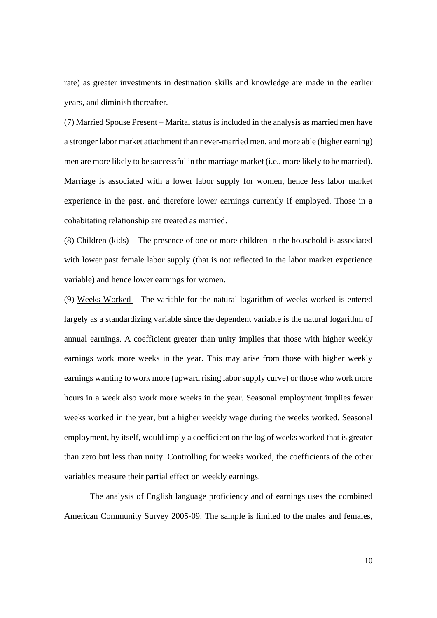rate) as greater investments in destination skills and knowledge are made in the earlier years, and diminish thereafter.

(7) Married Spouse Present – Marital status is included in the analysis as married men have a stronger labor market attachment than never-married men, and more able (higher earning) men are more likely to be successful in the marriage market (i.e., more likely to be married). Marriage is associated with a lower labor supply for women, hence less labor market experience in the past, and therefore lower earnings currently if employed. Those in a cohabitating relationship are treated as married.

(8) Children (kids) – The presence of one or more children in the household is associated with lower past female labor supply (that is not reflected in the labor market experience variable) and hence lower earnings for women.

(9) Weeks Worked –The variable for the natural logarithm of weeks worked is entered largely as a standardizing variable since the dependent variable is the natural logarithm of annual earnings. A coefficient greater than unity implies that those with higher weekly earnings work more weeks in the year. This may arise from those with higher weekly earnings wanting to work more (upward rising labor supply curve) or those who work more hours in a week also work more weeks in the year. Seasonal employment implies fewer weeks worked in the year, but a higher weekly wage during the weeks worked. Seasonal employment, by itself, would imply a coefficient on the log of weeks worked that is greater than zero but less than unity. Controlling for weeks worked, the coefficients of the other variables measure their partial effect on weekly earnings.

 The analysis of English language proficiency and of earnings uses the combined American Community Survey 2005-09. The sample is limited to the males and females,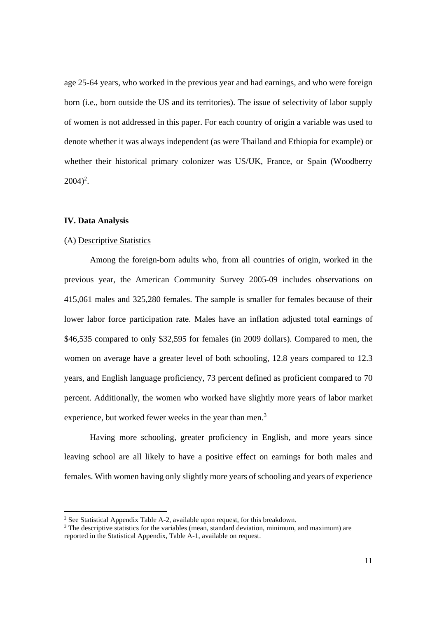age 25-64 years, who worked in the previous year and had earnings, and who were foreign born (i.e., born outside the US and its territories). The issue of selectivity of labor supply of women is not addressed in this paper. For each country of origin a variable was used to denote whether it was always independent (as were Thailand and Ethiopia for example) or whether their historical primary colonizer was US/UK, France, or Spain (Woodberry  $2004)^2$ .

# **IV. Data Analysis**

# (A) Descriptive Statistics

 

 Among the foreign-born adults who, from all countries of origin, worked in the previous year, the American Community Survey 2005-09 includes observations on 415,061 males and 325,280 females. The sample is smaller for females because of their lower labor force participation rate. Males have an inflation adjusted total earnings of \$46,535 compared to only \$32,595 for females (in 2009 dollars). Compared to men, the women on average have a greater level of both schooling, 12.8 years compared to 12.3 years, and English language proficiency, 73 percent defined as proficient compared to 70 percent. Additionally, the women who worked have slightly more years of labor market experience, but worked fewer weeks in the year than men.<sup>3</sup>

Having more schooling, greater proficiency in English, and more years since leaving school are all likely to have a positive effect on earnings for both males and females. With women having only slightly more years of schooling and years of experience

<sup>&</sup>lt;sup>2</sup> See Statistical Appendix Table A-2, available upon request, for this breakdown.

<sup>&</sup>lt;sup>3</sup> The descriptive statistics for the variables (mean, standard deviation, minimum, and maximum) are reported in the Statistical Appendix, Table A-1, available on request.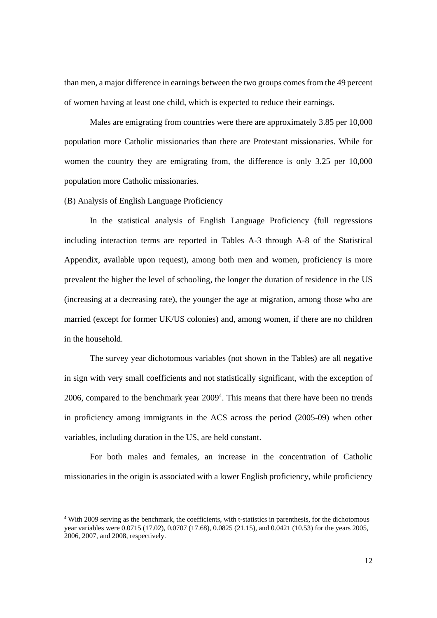than men, a major difference in earnings between the two groups comes from the 49 percent of women having at least one child, which is expected to reduce their earnings.

Males are emigrating from countries were there are approximately 3.85 per 10,000 population more Catholic missionaries than there are Protestant missionaries. While for women the country they are emigrating from, the difference is only 3.25 per 10,000 population more Catholic missionaries.

## (B) Analysis of English Language Proficiency

 

 In the statistical analysis of English Language Proficiency (full regressions including interaction terms are reported in Tables A-3 through A-8 of the Statistical Appendix, available upon request), among both men and women, proficiency is more prevalent the higher the level of schooling, the longer the duration of residence in the US (increasing at a decreasing rate), the younger the age at migration, among those who are married (except for former UK/US colonies) and, among women, if there are no children in the household.

 The survey year dichotomous variables (not shown in the Tables) are all negative in sign with very small coefficients and not statistically significant, with the exception of  $2006$ , compared to the benchmark year  $2009<sup>4</sup>$ . This means that there have been no trends in proficiency among immigrants in the ACS across the period (2005-09) when other variables, including duration in the US, are held constant.

 For both males and females, an increase in the concentration of Catholic missionaries in the origin is associated with a lower English proficiency, while proficiency

<sup>4</sup> With 2009 serving as the benchmark, the coefficients, with t-statistics in parenthesis, for the dichotomous year variables were 0.0715 (17.02), 0.0707 (17.68), 0.0825 (21.15), and 0.0421 (10.53) for the years 2005, 2006, 2007, and 2008, respectively.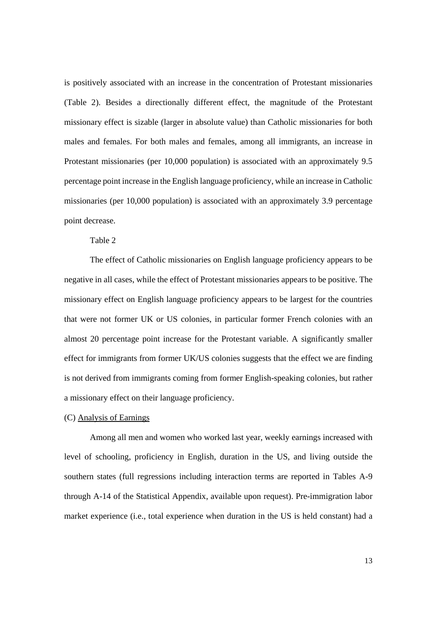is positively associated with an increase in the concentration of Protestant missionaries (Table 2). Besides a directionally different effect, the magnitude of the Protestant missionary effect is sizable (larger in absolute value) than Catholic missionaries for both males and females. For both males and females, among all immigrants, an increase in Protestant missionaries (per 10,000 population) is associated with an approximately 9.5 percentage point increase in the English language proficiency, while an increase in Catholic missionaries (per 10,000 population) is associated with an approximately 3.9 percentage point decrease.

# Table 2

 The effect of Catholic missionaries on English language proficiency appears to be negative in all cases, while the effect of Protestant missionaries appears to be positive. The missionary effect on English language proficiency appears to be largest for the countries that were not former UK or US colonies, in particular former French colonies with an almost 20 percentage point increase for the Protestant variable. A significantly smaller effect for immigrants from former UK/US colonies suggests that the effect we are finding is not derived from immigrants coming from former English-speaking colonies, but rather a missionary effect on their language proficiency.

### (C) Analysis of Earnings

 Among all men and women who worked last year, weekly earnings increased with level of schooling, proficiency in English, duration in the US, and living outside the southern states (full regressions including interaction terms are reported in Tables A-9 through A-14 of the Statistical Appendix, available upon request). Pre-immigration labor market experience (i.e., total experience when duration in the US is held constant) had a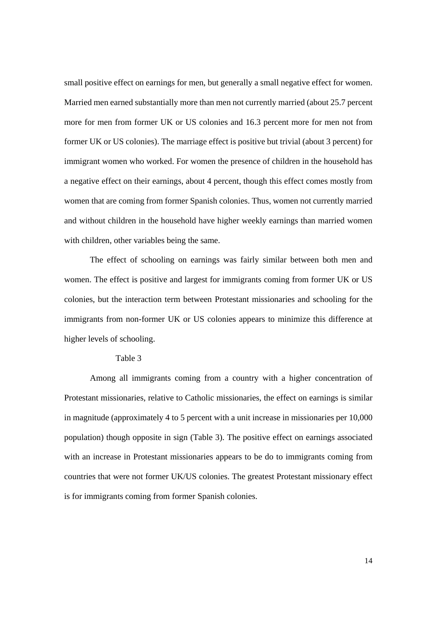small positive effect on earnings for men, but generally a small negative effect for women. Married men earned substantially more than men not currently married (about 25.7 percent more for men from former UK or US colonies and 16.3 percent more for men not from former UK or US colonies). The marriage effect is positive but trivial (about 3 percent) for immigrant women who worked. For women the presence of children in the household has a negative effect on their earnings, about 4 percent, though this effect comes mostly from women that are coming from former Spanish colonies. Thus, women not currently married and without children in the household have higher weekly earnings than married women with children, other variables being the same.

 The effect of schooling on earnings was fairly similar between both men and women. The effect is positive and largest for immigrants coming from former UK or US colonies, but the interaction term between Protestant missionaries and schooling for the immigrants from non-former UK or US colonies appears to minimize this difference at higher levels of schooling.

### Table 3

 Among all immigrants coming from a country with a higher concentration of Protestant missionaries, relative to Catholic missionaries, the effect on earnings is similar in magnitude (approximately 4 to 5 percent with a unit increase in missionaries per 10,000 population) though opposite in sign (Table 3). The positive effect on earnings associated with an increase in Protestant missionaries appears to be do to immigrants coming from countries that were not former UK/US colonies. The greatest Protestant missionary effect is for immigrants coming from former Spanish colonies.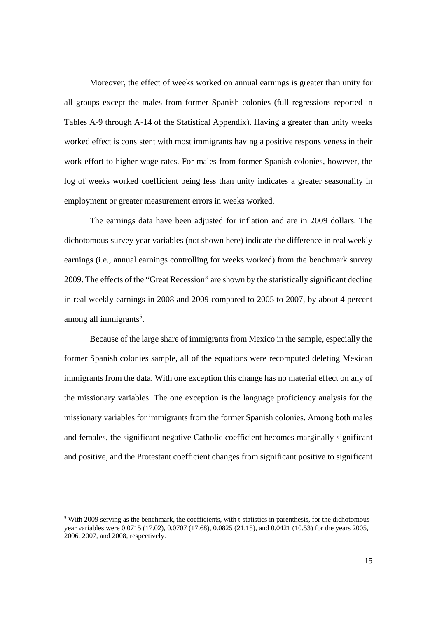Moreover, the effect of weeks worked on annual earnings is greater than unity for all groups except the males from former Spanish colonies (full regressions reported in Tables A-9 through A-14 of the Statistical Appendix). Having a greater than unity weeks worked effect is consistent with most immigrants having a positive responsiveness in their work effort to higher wage rates. For males from former Spanish colonies, however, the log of weeks worked coefficient being less than unity indicates a greater seasonality in employment or greater measurement errors in weeks worked.

 The earnings data have been adjusted for inflation and are in 2009 dollars. The dichotomous survey year variables (not shown here) indicate the difference in real weekly earnings (i.e., annual earnings controlling for weeks worked) from the benchmark survey 2009. The effects of the "Great Recession" are shown by the statistically significant decline in real weekly earnings in 2008 and 2009 compared to 2005 to 2007, by about 4 percent among all immigrants<sup>5</sup>.

 Because of the large share of immigrants from Mexico in the sample, especially the former Spanish colonies sample, all of the equations were recomputed deleting Mexican immigrants from the data. With one exception this change has no material effect on any of the missionary variables. The one exception is the language proficiency analysis for the missionary variables for immigrants from the former Spanish colonies. Among both males and females, the significant negative Catholic coefficient becomes marginally significant and positive, and the Protestant coefficient changes from significant positive to significant

 

<sup>5</sup> With 2009 serving as the benchmark, the coefficients, with t-statistics in parenthesis, for the dichotomous year variables were 0.0715 (17.02), 0.0707 (17.68), 0.0825 (21.15), and 0.0421 (10.53) for the years 2005, 2006, 2007, and 2008, respectively.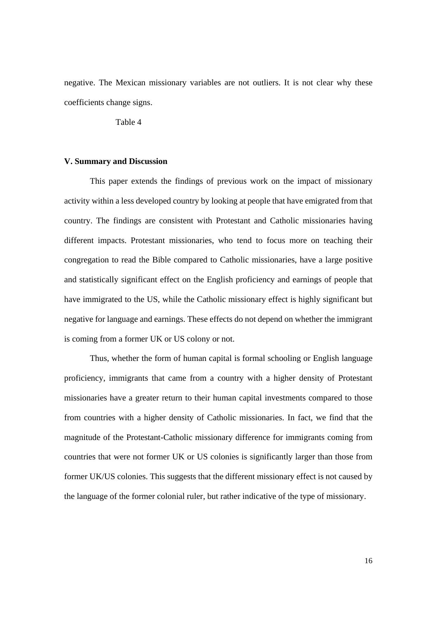negative. The Mexican missionary variables are not outliers. It is not clear why these coefficients change signs.

Table 4

## **V. Summary and Discussion**

 This paper extends the findings of previous work on the impact of missionary activity within a less developed country by looking at people that have emigrated from that country. The findings are consistent with Protestant and Catholic missionaries having different impacts. Protestant missionaries, who tend to focus more on teaching their congregation to read the Bible compared to Catholic missionaries, have a large positive and statistically significant effect on the English proficiency and earnings of people that have immigrated to the US, while the Catholic missionary effect is highly significant but negative for language and earnings. These effects do not depend on whether the immigrant is coming from a former UK or US colony or not.

 Thus, whether the form of human capital is formal schooling or English language proficiency, immigrants that came from a country with a higher density of Protestant missionaries have a greater return to their human capital investments compared to those from countries with a higher density of Catholic missionaries. In fact, we find that the magnitude of the Protestant-Catholic missionary difference for immigrants coming from countries that were not former UK or US colonies is significantly larger than those from former UK/US colonies. This suggests that the different missionary effect is not caused by the language of the former colonial ruler, but rather indicative of the type of missionary.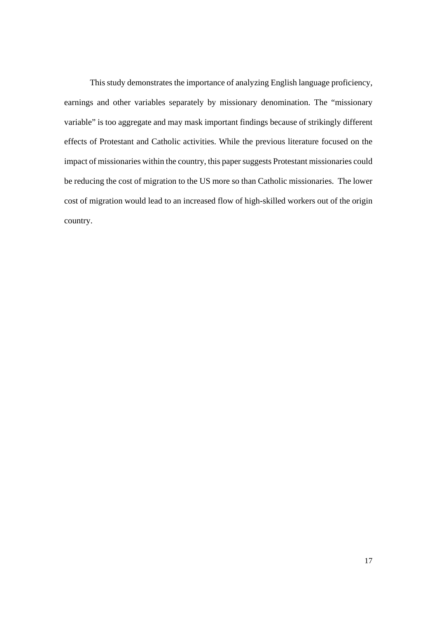This study demonstrates the importance of analyzing English language proficiency, earnings and other variables separately by missionary denomination. The "missionary variable" is too aggregate and may mask important findings because of strikingly different effects of Protestant and Catholic activities. While the previous literature focused on the impact of missionaries within the country, this paper suggests Protestant missionaries could be reducing the cost of migration to the US more so than Catholic missionaries. The lower cost of migration would lead to an increased flow of high-skilled workers out of the origin country.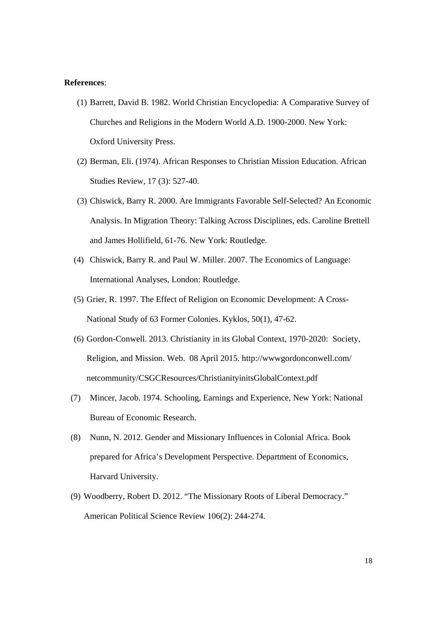#### **References**:

- (1) Barrett, David B. 1982. World Christian Encyclopedia: A Comparative Survey of Churches and Religions in the Modern World A.D. 1900-2000. New York: Oxford University Press.
- (2) Berman, Eli. (1974). African Responses to Christian Mission Education. African Studies Review, 17 (3): 527-40.
- (3) Chiswick, Barry R. 2000. Are Immigrants Favorable Self-Selected? An Economic Analysis. In Migration Theory: Talking Across Disciplines, eds. Caroline Brettell and James Hollifield, 61-76. New York: Routledge.
- (4) Chiswick, Barry R. and Paul W. Miller. 2007. The Economics of Language: International Analyses, London: Routledge.
- (5) Grier, R. 1997. The Effect of Religion on Economic Development: A Cross-National Study of 63 Former Colonies. Kyklos, 50(1), 47-62.
- (6) Gordon-Conwell. 2013. Christianity in its Global Context, 1970-2020: Society, Religion, and Mission. Web. 08 April 2015. http://wwwgordonconwell.com/ netcommunity/CSGCResources/ChristianityinitsGlobalContext.pdf
- (7) Mincer, Jacob. 1974. Schooling, Earnings and Experience, New York: National Bureau of Economic Research.
- (8) Nunn, N. 2012. Gender and Missionary Influences in Colonial Africa. Book prepared for Africa's Development Perspective. Department of Economics, Harvard University.
- (9) Woodberry, Robert D. 2012. "The Missionary Roots of Liberal Democracy." American Political Science Review 106(2): 244-274.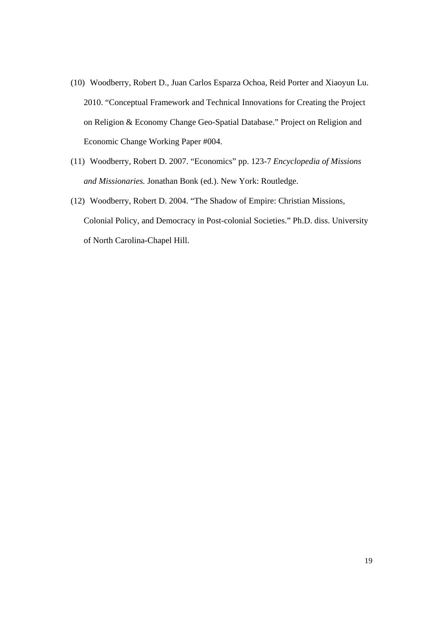- (10) Woodberry, Robert D., Juan Carlos Esparza Ochoa, Reid Porter and Xiaoyun Lu. 2010. "Conceptual Framework and Technical Innovations for Creating the Project on Religion & Economy Change Geo-Spatial Database." Project on Religion and Economic Change Working Paper #004.
- (11) Woodberry, Robert D. 2007. "Economics" pp. 123-7 *Encyclopedia of Missions and Missionaries.* Jonathan Bonk (ed.). New York: Routledge.
- (12) Woodberry, Robert D. 2004. "The Shadow of Empire: Christian Missions, Colonial Policy, and Democracy in Post-colonial Societies." Ph.D. diss. University of North Carolina-Chapel Hill.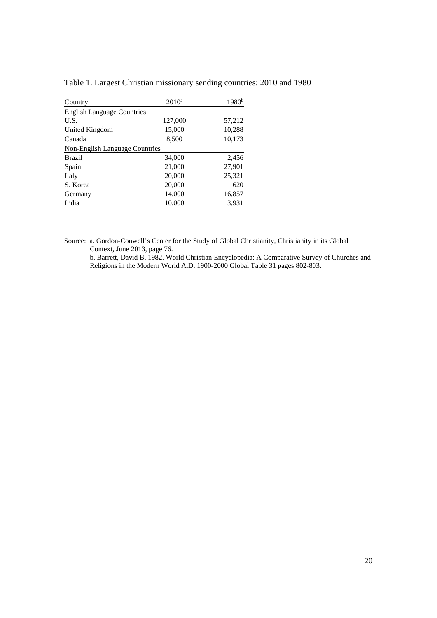| Country                           | $2010^a$ | 1980 <sup>b</sup> |
|-----------------------------------|----------|-------------------|
| <b>English Language Countries</b> |          |                   |
| U.S.                              | 127,000  | 57,212            |
| United Kingdom                    | 15,000   | 10,288            |
| Canada                            | 8,500    | 10,173            |
| Non-English Language Countries    |          |                   |
| <b>Brazil</b>                     | 34,000   | 2,456             |
| Spain                             | 21,000   | 27,901            |
| Italy                             | 20,000   | 25,321            |
| S. Korea                          | 20,000   | 620               |
| Germany                           | 14,000   | 16,857            |
| India                             | 10,000   | 3,931             |

Table 1. Largest Christian missionary sending countries: 2010 and 1980

Source: a. Gordon-Conwell's Center for the Study of Global Christianity, Christianity in its Global Context, June 2013, page 76.

 b. Barrett, David B. 1982. World Christian Encyclopedia: A Comparative Survey of Churches and Religions in the Modern World A.D. 1900-2000 Global Table 31 pages 802-803.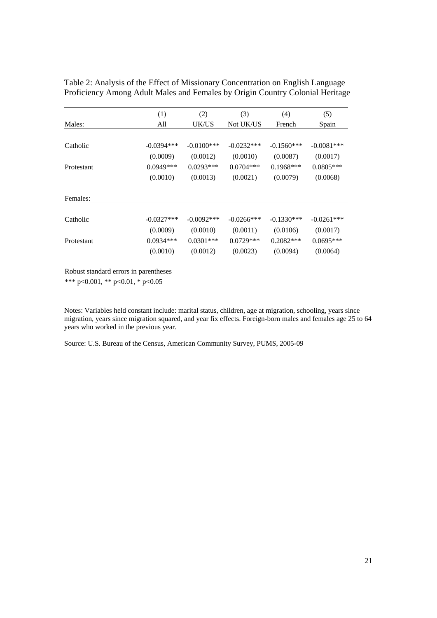Table 2: Analysis of the Effect of Missionary Concentration on English Language Proficiency Among Adult Males and Females by Origin Country Colonial Heritage

|            | (1)          | (2)           | (3)           | (4)          | (5)          |
|------------|--------------|---------------|---------------|--------------|--------------|
| Males:     | All          | UK/US         | Not UK/US     | French       | Spain        |
|            |              |               |               |              |              |
| Catholic   | $-0.0394***$ | $-0.0100$ *** | $-0.0232***$  | $-0.1560***$ | $-0.0081***$ |
|            | (0.0009)     | (0.0012)      | (0.0010)      | (0.0087)     | (0.0017)     |
| Protestant | $0.0949***$  | $0.0293***$   | $0.0704***$   | $0.1968***$  | $0.0805***$  |
|            | (0.0010)     | (0.0013)      | (0.0021)      | (0.0079)     | (0.0068)     |
| Females:   |              |               |               |              |              |
| Catholic   | $-0.0327***$ | $-0.0092$ *** | $-0.0266$ *** | $-0.1330***$ | $-0.0261***$ |
|            | (0.0009)     | (0.0010)      | (0.0011)      | (0.0106)     | (0.0017)     |
| Protestant | $0.0934***$  | $0.0301***$   | $0.0729***$   | $0.2082***$  | $0.0695***$  |
|            | (0.0010)     | (0.0012)      | (0.0023)      | (0.0094)     | (0.0064)     |

Robust standard errors in parentheses

\*\*\* p<0.001, \*\* p<0.01, \* p<0.05

Notes: Variables held constant include: marital status, children, age at migration, schooling, years since migration, years since migration squared, and year fix effects. Foreign-born males and females age 25 to 64 years who worked in the previous year. Ī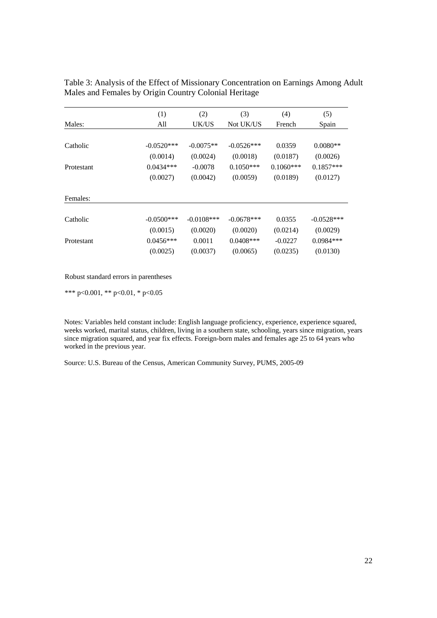|            | (1)          | (2)           | (3)          | (4)         | (5)          |
|------------|--------------|---------------|--------------|-------------|--------------|
| Males:     | All          | UK/US         | Not UK/US    | French      | Spain        |
|            |              |               |              |             |              |
| Catholic   | $-0.0520***$ | $-0.0075**$   | $-0.0526***$ | 0.0359      | $0.0080**$   |
|            | (0.0014)     | (0.0024)      | (0.0018)     | (0.0187)    | (0.0026)     |
| Protestant | $0.0434***$  | $-0.0078$     | $0.1050***$  | $0.1060***$ | $0.1857***$  |
|            | (0.0027)     | (0.0042)      | (0.0059)     | (0.0189)    | (0.0127)     |
|            |              |               |              |             |              |
| Females:   |              |               |              |             |              |
|            |              |               |              |             |              |
| Catholic   | $-0.0500***$ | $-0.0108$ *** | $-0.0678***$ | 0.0355      | $-0.0528***$ |
|            | (0.0015)     | (0.0020)      | (0.0020)     | (0.0214)    | (0.0029)     |
| Protestant | $0.0456***$  | 0.0011        | $0.0408***$  | $-0.0227$   | $0.0984***$  |
|            | (0.0025)     | (0.0037)      | (0.0065)     | (0.0235)    | (0.0130)     |

Table 3: Analysis of the Effect of Missionary Concentration on Earnings Among Adult Males and Females by Origin Country Colonial Heritage

Robust standard errors in parentheses

\*\*\* p<0.001, \*\* p<0.01, \* p<0.05

Notes: Variables held constant include: English language proficiency, experience, experience squared, weeks worked, marital status, children, living in a southern state, schooling, years since migration, years since migration squared, and year fix effects. Foreign-born males and females age 25 to 64 years who worked in the previous year.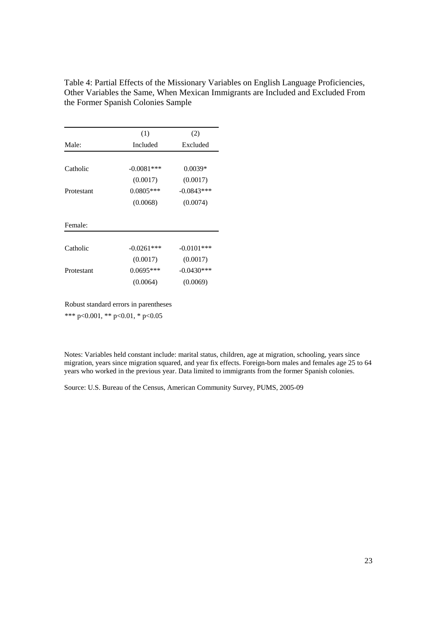Table 4: Partial Effects of the Missionary Variables on English Language Proficiencies, Other Variables the Same, When Mexican Immigrants are Included and Excluded From the Former Spanish Colonies Sample

|            | (1)          | (2)           |  |
|------------|--------------|---------------|--|
| Male:      | Included     | Excluded      |  |
|            |              |               |  |
| Catholic   | $-0.0081***$ | $0.0039*$     |  |
|            | (0.0017)     | (0.0017)      |  |
| Protestant | $0.0805***$  | $-0.0843***$  |  |
|            | (0.0068)     | (0.0074)      |  |
| Female:    |              |               |  |
| Catholic   | $-0.0261***$ | $-0.0101$ *** |  |
|            | (0.0017)     | (0.0017)      |  |
| Protestant | $0.0695***$  | $-0.0430***$  |  |
|            | (0.0064)     | (0.0069)      |  |

Robust standard errors in parentheses \*\*\* p<0.001, \*\* p<0.01, \* p<0.05

Notes: Variables held constant include: marital status, children, age at migration, schooling, years since migration, years since migration squared, and year fix effects. Foreign-born males and females age 25 to 64 years who worked in the previous year. Data limited to immigrants from the former Spanish colonies. Ī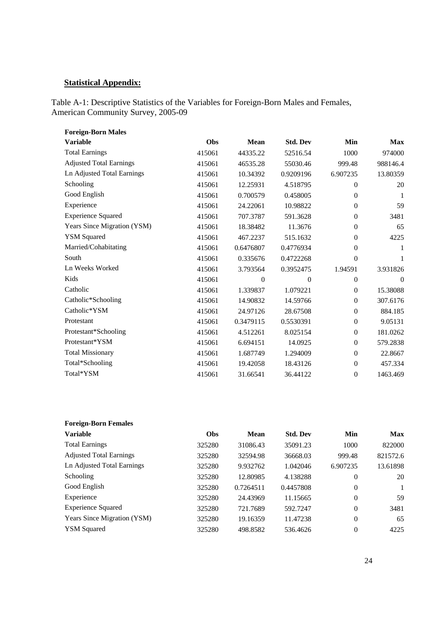# **Statistical Appendix:**

Table A-1: Descriptive Statistics of the Variables for Foreign-Born Males and Females, American Community Survey, 2005-09

| <b>Foreign-Born Males</b>      |        |             |                 |                  |            |
|--------------------------------|--------|-------------|-----------------|------------------|------------|
| <b>Variable</b>                | Obs    | <b>Mean</b> | <b>Std. Dev</b> | Min              | <b>Max</b> |
| <b>Total Earnings</b>          | 415061 | 44335.22    | 52516.54        | 1000             | 974000     |
| <b>Adjusted Total Earnings</b> | 415061 | 46535.28    | 55030.46        | 999.48           | 988146.4   |
| Ln Adjusted Total Earnings     | 415061 | 10.34392    | 0.9209196       | 6.907235         | 13.80359   |
| Schooling                      | 415061 | 12.25931    | 4.518795        | 0                | 20         |
| Good English                   | 415061 | 0.700579    | 0.458005        | $\mathbf{0}$     | 1          |
| Experience                     | 415061 | 24.22061    | 10.98822        | $\mathbf{0}$     | 59         |
| <b>Experience Squared</b>      | 415061 | 707.3787    | 591.3628        | $\mathbf{0}$     | 3481       |
| Years Since Migration (YSM)    | 415061 | 18.38482    | 11.3676         | $\theta$         | 65         |
| <b>YSM</b> Squared             | 415061 | 467.2237    | 515.1632        | 0                | 4225       |
| Married/Cohabitating           | 415061 | 0.6476807   | 0.4776934       | $\boldsymbol{0}$ | 1          |
| South                          | 415061 | 0.335676    | 0.4722268       | $\boldsymbol{0}$ | 1          |
| Ln Weeks Worked                | 415061 | 3.793564    | 0.3952475       | 1.94591          | 3.931826   |
| Kids                           | 415061 | $\Omega$    | 0               | 0                | 0          |
| Catholic                       | 415061 | 1.339837    | 1.079221        | $\boldsymbol{0}$ | 15.38088   |
| Catholic*Schooling             | 415061 | 14.90832    | 14.59766        | $\boldsymbol{0}$ | 307.6176   |
| Catholic*YSM                   | 415061 | 24.97126    | 28.67508        | $\boldsymbol{0}$ | 884.185    |
| Protestant                     | 415061 | 0.3479115   | 0.5530391       | $\boldsymbol{0}$ | 9.05131    |
| Protestant*Schooling           | 415061 | 4.512261    | 8.025154        | $\boldsymbol{0}$ | 181.0262   |
| Protestant*YSM                 | 415061 | 6.694151    | 14.0925         | $\boldsymbol{0}$ | 579.2838   |
| <b>Total Missionary</b>        | 415061 | 1.687749    | 1.294009        | $\boldsymbol{0}$ | 22.8667    |
| Total*Schooling                | 415061 | 19.42058    | 18.43126        | $\mathbf{0}$     | 457.334    |
| Total*YSM                      | 415061 | 31.66541    | 36.44122        | $\theta$         | 1463.469   |

| <b>Foreign-Born Females</b>    |            |           |                 |              |          |
|--------------------------------|------------|-----------|-----------------|--------------|----------|
| Variable                       | <b>Obs</b> | Mean      | <b>Std. Dev</b> | Min          | Max      |
| <b>Total Earnings</b>          | 325280     | 31086.43  | 35091.23        | 1000         | 822000   |
| <b>Adjusted Total Earnings</b> | 325280     | 32594.98  | 36668.03        | 999.48       | 821572.6 |
| Ln Adjusted Total Earnings     | 325280     | 9.932762  | 1.042046        | 6.907235     | 13.61898 |
| Schooling                      | 325280     | 12.80985  | 4.138288        | $\mathbf{0}$ | 20       |
| Good English                   | 325280     | 0.7264511 | 0.4457808       | $\theta$     |          |
| Experience                     | 325280     | 24.43969  | 11.15665        | $\mathbf{0}$ | 59       |
| <b>Experience Squared</b>      | 325280     | 721.7689  | 592.7247        | $\mathbf{0}$ | 3481     |
| Years Since Migration (YSM)    | 325280     | 19.16359  | 11.47238        | $\mathbf{0}$ | 65       |
| <b>YSM Squared</b>             | 325280     | 498.8582  | 536.4626        | $\theta$     | 4225     |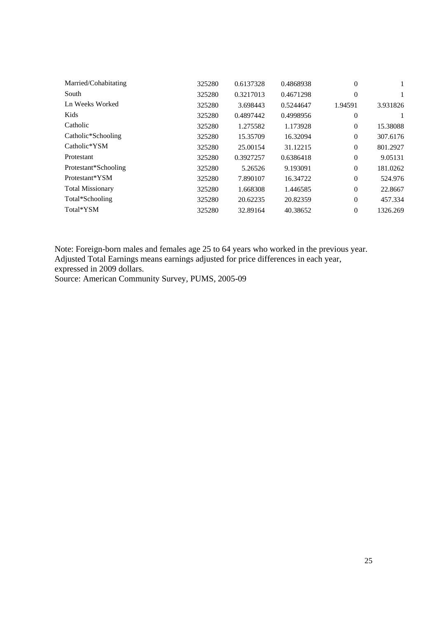| Married/Cohabitating    | 325280 | 0.6137328 | 0.4868938 | 0        |          |
|-------------------------|--------|-----------|-----------|----------|----------|
| South                   | 325280 | 0.3217013 | 0.4671298 | $\Omega$ |          |
| Ln Weeks Worked         | 325280 | 3.698443  | 0.5244647 | 1.94591  | 3.931826 |
| Kids                    | 325280 | 0.4897442 | 0.4998956 | $\theta$ |          |
| Catholic                | 325280 | 1.275582  | 1.173928  | $\theta$ | 15.38088 |
| Catholic*Schooling      | 325280 | 15.35709  | 16.32094  | $\theta$ | 307.6176 |
| Catholic*YSM            | 325280 | 25.00154  | 31.12215  | $\theta$ | 801.2927 |
| Protestant              | 325280 | 0.3927257 | 0.6386418 | $\theta$ | 9.05131  |
| Protestant*Schooling    | 325280 | 5.26526   | 9.193091  | $\theta$ | 181.0262 |
| Protestant*YSM          | 325280 | 7.890107  | 16.34722  | $\Omega$ | 524.976  |
| <b>Total Missionary</b> | 325280 | 1.668308  | 1.446585  | $\theta$ | 22.8667  |
| Total*Schooling         | 325280 | 20.62235  | 20.82359  | $\Omega$ | 457.334  |
| Total*YSM               | 325280 | 32.89164  | 40.38652  | $\theta$ | 1326.269 |
|                         |        |           |           |          |          |

Note: Foreign-born males and females age 25 to 64 years who worked in the previous year. Adjusted Total Earnings means earnings adjusted for price differences in each year, expressed in 2009 dollars.

Source: American Community Survey, PUMS, 2005-09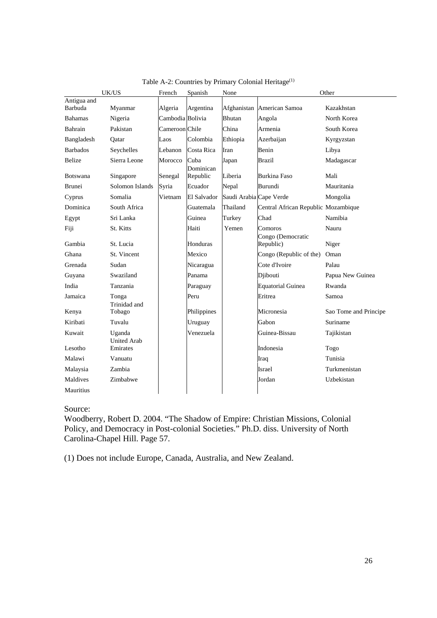|                        | UK/US                        | French           | Spanish           | None                    |                                     | Other                 |
|------------------------|------------------------------|------------------|-------------------|-------------------------|-------------------------------------|-----------------------|
| Antigua and<br>Barbuda | Myanmar                      | Algeria          | Argentina         | Afghanistan             | American Samoa                      | Kazakhstan            |
| <b>Bahamas</b>         | Nigeria                      | Cambodia Bolivia |                   | <b>Bhutan</b>           | Angola                              | North Korea           |
| Bahrain                | Pakistan                     | Cameroon Chile   |                   | China                   | Armenia                             | South Korea           |
| Bangladesh             | Qatar                        | Laos             | Colombia          | Ethiopia                | Azerbaijan                          | Kyrgyzstan            |
| <b>Barbados</b>        | Seychelles                   | Lebanon          | Costa Rica        | Iran                    | Benin                               | Libya                 |
| <b>Belize</b>          | Sierra Leone                 | Morocco          | Cuba<br>Dominican | Japan                   | <b>Brazil</b>                       | Madagascar            |
| <b>Botswana</b>        | Singapore                    | Senegal          | Republic          | Liberia                 | Burkina Faso                        | Mali                  |
| <b>Brunei</b>          | Solomon Islands              | Syria            | Ecuador           | Nepal                   | Burundi                             | Mauritania            |
| Cyprus                 | Somalia                      | Vietnam          | El Salvador       | Saudi Arabia Cape Verde |                                     | Mongolia              |
| Dominica               | South Africa                 |                  | Guatemala         | Thailand                | Central African Republic Mozambique |                       |
| Egypt                  | Sri Lanka                    |                  | Guinea            | Turkey                  | Chad                                | Namibia               |
| Fiji                   | St. Kitts                    |                  | Haiti             | Yemen                   | Comoros                             | Nauru                 |
| Gambia                 | St. Lucia                    |                  | Honduras          |                         | Congo (Democratic<br>Republic)      | Niger                 |
| Ghana                  | St. Vincent                  |                  | Mexico            |                         | Congo (Republic of the)             | Oman                  |
| Grenada                | Sudan                        |                  | Nicaragua         |                         | Cote d'Ivoire                       | Palau                 |
| Guyana                 | Swaziland                    |                  | Panama            |                         | Djibouti                            | Papua New Guinea      |
| India                  | Tanzania                     |                  | Paraguay          |                         | <b>Equatorial Guinea</b>            | Rwanda                |
| Jamaica                | Tonga<br>Trinidad and        |                  | Peru              |                         | Eritrea                             | Samoa                 |
| Kenya                  | Tobago                       |                  | Philippines       |                         | Micronesia                          | Sao Tome and Principe |
| Kiribati               | Tuvalu                       |                  | Uruguay           |                         | Gabon                               | Suriname              |
| Kuwait                 | Uganda<br><b>United Arab</b> |                  | Venezuela         |                         | Guinea-Bissau                       | Tajikistan            |
| Lesotho                | Emirates                     |                  |                   |                         | Indonesia                           | Togo                  |
| Malawi                 | Vanuatu                      |                  |                   |                         | Iraq                                | Tunisia               |
| Malaysia               | Zambia                       |                  |                   |                         | Israel                              | Turkmenistan          |
| Maldives               | Zimbabwe                     |                  |                   |                         | Jordan                              | Uzbekistan            |
| Mauritius              |                              |                  |                   |                         |                                     |                       |

Table A-2: Countries by Primary Colonial Heritage<sup>(1)</sup>

Source:

Woodberry, Robert D*.* 2004. "The Shadow of Empire: Christian Missions, Colonial Policy, and Democracy in Post-colonial Societies." Ph.D. diss. University of North Carolina-Chapel Hill. Page 57.

(1) Does not include Europe, Canada, Australia, and New Zealand.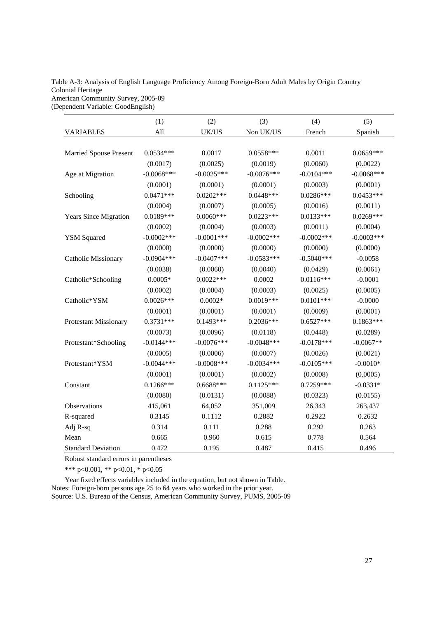#### Table A-3: Analysis of English Language Proficiency Among Foreign-Born Adult Males by Origin Country Colonial Heritage American Community Survey, 2005-09

(Dependent Variable: GoodEnglish)

|                               | (1)          | (2)           | (3)           | (4)          | (5)          |
|-------------------------------|--------------|---------------|---------------|--------------|--------------|
| <b>VARIABLES</b>              | All          | UK/US         | Non UK/US     | French       | Spanish      |
|                               |              |               |               |              |              |
| <b>Married Spouse Present</b> | $0.0534***$  | 0.0017        | $0.0558***$   | 0.0011       | $0.0659***$  |
|                               | (0.0017)     | (0.0025)      | (0.0019)      | (0.0060)     | (0.0022)     |
| Age at Migration              | $-0.0068***$ | $-0.0025***$  | $-0.0076***$  | $-0.0104***$ | $-0.0068***$ |
|                               | (0.0001)     | (0.0001)      | (0.0001)      | (0.0003)     | (0.0001)     |
| Schooling                     | $0.0471***$  | $0.0202***$   | $0.0448***$   | $0.0286***$  | $0.0453***$  |
|                               | (0.0004)     | (0.0007)      | (0.0005)      | (0.0016)     | (0.0011)     |
| <b>Years Since Migration</b>  | $0.0189***$  | $0.0060***$   | $0.0223***$   | $0.0133***$  | $0.0269***$  |
|                               | (0.0002)     | (0.0004)      | (0.0003)      | (0.0011)     | (0.0004)     |
| <b>YSM</b> Squared            | $-0.0002***$ | $-0.0001$ *** | $-0.0002$ *** | $-0.0002***$ | $-0.0003***$ |
|                               | (0.0000)     | (0.0000)      | (0.0000)      | (0.0000)     | (0.0000)     |
| <b>Catholic Missionary</b>    | $-0.0904***$ | $-0.0407***$  | $-0.0583***$  | $-0.5040***$ | $-0.0058$    |
|                               | (0.0038)     | (0.0060)      | (0.0040)      | (0.0429)     | (0.0061)     |
| Catholic*Schooling            | $0.0005*$    | $0.0022***$   | 0.0002        | $0.0116***$  | $-0.0001$    |
|                               | (0.0002)     | (0.0004)      | (0.0003)      | (0.0025)     | (0.0005)     |
| Catholic*YSM                  | $0.0026***$  | $0.0002*$     | 0.0019***     | $0.0101***$  | $-0.0000$    |
|                               | (0.0001)     | (0.0001)      | (0.0001)      | (0.0009)     | (0.0001)     |
| Protestant Missionary         | $0.3731***$  | $0.1493***$   | $0.2036***$   | $0.6527***$  | $0.1863***$  |
|                               | (0.0073)     | (0.0096)      | (0.0118)      | (0.0448)     | (0.0289)     |
| Protestant*Schooling          | $-0.0144***$ | $-0.0076***$  | $-0.0048***$  | $-0.0178***$ | $-0.0067**$  |
|                               | (0.0005)     | (0.0006)      | (0.0007)      | (0.0026)     | (0.0021)     |
| Protestant*YSM                | $-0.0044***$ | $-0.0008$ *** | $-0.0034***$  | $-0.0105***$ | $-0.0010*$   |
|                               | (0.0001)     | (0.0001)      | (0.0002)      | (0.0008)     | (0.0005)     |
| Constant                      | $0.1266***$  | $0.6688***$   | $0.1125***$   | 0.7259***    | $-0.0331*$   |
|                               | (0.0080)     | (0.0131)      | (0.0088)      | (0.0323)     | (0.0155)     |
| <b>Observations</b>           | 415,061      | 64,052        | 351,009       | 26,343       | 263,437      |
| R-squared                     | 0.3145       | 0.1112        | 0.2882        | 0.2922       | 0.2632       |
| Adj R-sq                      | 0.314        | 0.111         | 0.288         | 0.292        | 0.263        |
| Mean                          | 0.665        | 0.960         | 0.615         | 0.778        | 0.564        |
| <b>Standard Deviation</b>     | 0.472        | 0.195         | 0.487         | 0.415        | 0.496        |

Robust standard errors in parentheses

\*\*\* p<0.001, \*\* p<0.01, \* p<0.05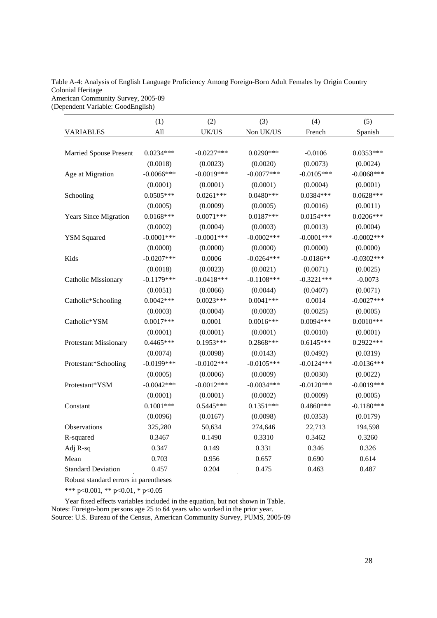#### Table A-4: Analysis of English Language Proficiency Among Foreign-Born Adult Females by Origin Country Colonial Heritage American Community Survey, 2005-09

(Dependent Variable: GoodEnglish)

|                               | (1)           | (2)           | (3)           | (4)          | (5)          |
|-------------------------------|---------------|---------------|---------------|--------------|--------------|
| <b>VARIABLES</b>              | All           | UK/US         | Non UK/US     | French       | Spanish      |
|                               |               |               |               |              |              |
| <b>Married Spouse Present</b> | $0.0234***$   | $-0.0227***$  | $0.0290***$   | $-0.0106$    | $0.0353***$  |
|                               | (0.0018)      | (0.0023)      | (0.0020)      | (0.0073)     | (0.0024)     |
| Age at Migration              | $-0.0066$ *** | $-0.0019***$  | $-0.0077***$  | $-0.0105***$ | $-0.0068***$ |
|                               | (0.0001)      | (0.0001)      | (0.0001)      | (0.0004)     | (0.0001)     |
| Schooling                     | $0.0505***$   | $0.0261***$   | $0.0480***$   | $0.0384***$  | $0.0628***$  |
|                               | (0.0005)      | (0.0009)      | (0.0005)      | (0.0016)     | (0.0011)     |
| <b>Years Since Migration</b>  | $0.0168***$   | $0.0071***$   | $0.0187***$   | $0.0154***$  | $0.0206***$  |
|                               | (0.0002)      | (0.0004)      | (0.0003)      | (0.0013)     | (0.0004)     |
| <b>YSM</b> Squared            | $-0.0001***$  | $-0.0001$ *** | $-0.0002$ *** | $-0.0001***$ | $-0.0002***$ |
|                               | (0.0000)      | (0.0000)      | (0.0000)      | (0.0000)     | (0.0000)     |
| Kids                          | $-0.0207***$  | 0.0006        | $-0.0264***$  | $-0.0186**$  | $-0.0302***$ |
|                               | (0.0018)      | (0.0023)      | (0.0021)      | (0.0071)     | (0.0025)     |
| Catholic Missionary           | $-0.1179***$  | $-0.0418***$  | $-0.1108***$  | $-0.3221***$ | $-0.0073$    |
|                               | (0.0051)      | (0.0066)      | (0.0044)      | (0.0407)     | (0.0071)     |
| Catholic*Schooling            | $0.0042***$   | $0.0023***$   | $0.0041***$   | 0.0014       | $-0.0027***$ |
|                               | (0.0003)      | (0.0004)      | (0.0003)      | (0.0025)     | (0.0005)     |
| Catholic*YSM                  | $0.0017***$   | 0.0001        | $0.0016***$   | $0.0094***$  | $0.0010***$  |
|                               | (0.0001)      | (0.0001)      | (0.0001)      | (0.0010)     | (0.0001)     |
| <b>Protestant Missionary</b>  | $0.4465***$   | $0.1953***$   | 0.2868***     | $0.6145***$  | 0.2922***    |
|                               | (0.0074)      | (0.0098)      | (0.0143)      | (0.0492)     | (0.0319)     |
| Protestant*Schooling          | $-0.0199***$  | $-0.0102***$  | $-0.0105***$  | $-0.0124***$ | $-0.0136***$ |
|                               | (0.0005)      | (0.0006)      | (0.0009)      | (0.0030)     | (0.0022)     |
| Protestant*YSM                | $-0.0042***$  | $-0.0012***$  | $-0.0034***$  | $-0.0120***$ | $-0.0019***$ |
|                               | (0.0001)      | (0.0001)      | (0.0002)      | (0.0009)     | (0.0005)     |
| Constant                      | $0.1001***$   | $0.5445***$   | $0.1351***$   | 0.4860***    | $-0.1180***$ |
|                               | (0.0096)      | (0.0167)      | (0.0098)      | (0.0353)     | (0.0179)     |
| Observations                  | 325,280       | 50,634        | 274,646       | 22,713       | 194,598      |
| R-squared                     | 0.3467        | 0.1490        | 0.3310        | 0.3462       | 0.3260       |
| Adj R-sq                      | 0.347         | 0.149         | 0.331         | 0.346        | 0.326        |
| Mean                          | 0.703         | 0.956         | 0.657         | 0.690        | 0.614        |
| <b>Standard Deviation</b>     | 0.457         | 0.204         | 0.475         | 0.463        | 0.487        |

Robust standard errors in parentheses

\*\*\* p<0.001, \*\* p<0.01, \* p<0.05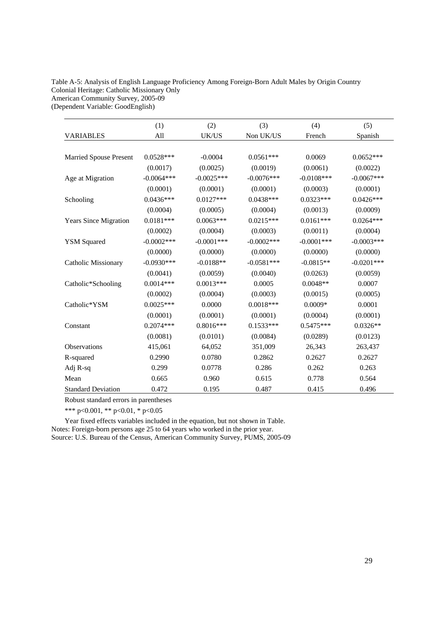#### Table A-5: Analysis of English Language Proficiency Among Foreign-Born Adult Males by Origin Country Colonial Heritage: Catholic Missionary Only American Community Survey, 2005-09 (Dependent Variable: GoodEnglish)

|                               | (1)           | (2)          | (3)           | (4)          | (5)          |
|-------------------------------|---------------|--------------|---------------|--------------|--------------|
| <b>VARIABLES</b>              | All           | UK/US        | Non UK/US     | French       | Spanish      |
|                               |               |              |               |              |              |
| <b>Married Spouse Present</b> | $0.0528***$   | $-0.0004$    | $0.0561***$   | 0.0069       | $0.0652***$  |
|                               | (0.0017)      | (0.0025)     | (0.0019)      | (0.0061)     | (0.0022)     |
| Age at Migration              | $-0.0064***$  | $-0.0025***$ | $-0.0076***$  | $-0.0108***$ | $-0.0067***$ |
|                               | (0.0001)      | (0.0001)     | (0.0001)      | (0.0003)     | (0.0001)     |
| Schooling                     | $0.0436***$   | $0.0127***$  | $0.0438***$   | $0.0323***$  | $0.0426***$  |
|                               | (0.0004)      | (0.0005)     | (0.0004)      | (0.0013)     | (0.0009)     |
| <b>Years Since Migration</b>  | $0.0181***$   | $0.0063***$  | $0.0215***$   | $0.0161***$  | $0.0264***$  |
|                               | (0.0002)      | (0.0004)     | (0.0003)      | (0.0011)     | (0.0004)     |
| <b>YSM Squared</b>            | $-0.0002$ *** | $-0.0001***$ | $-0.0002$ *** | $-0.0001***$ | $-0.0003***$ |
|                               | (0.0000)      | (0.0000)     | (0.0000)      | (0.0000)     | (0.0000)     |
| <b>Catholic Missionary</b>    | $-0.0930***$  | $-0.0188**$  | $-0.0581***$  | $-0.0815**$  | $-0.0201***$ |
|                               | (0.0041)      | (0.0059)     | (0.0040)      | (0.0263)     | (0.0059)     |
| Catholic*Schooling            | $0.0014***$   | $0.0013***$  | 0.0005        | $0.0048**$   | 0.0007       |
|                               | (0.0002)      | (0.0004)     | (0.0003)      | (0.0015)     | (0.0005)     |
| Catholic*YSM                  | $0.0025***$   | 0.0000       | $0.0018***$   | $0.0009*$    | 0.0001       |
|                               | (0.0001)      | (0.0001)     | (0.0001)      | (0.0004)     | (0.0001)     |
| Constant                      | $0.2074***$   | $0.8016***$  | $0.1533***$   | $0.5475***$  | $0.0326**$   |
|                               | (0.0081)      | (0.0101)     | (0.0084)      | (0.0289)     | (0.0123)     |
| Observations                  | 415,061       | 64,052       | 351,009       | 26,343       | 263,437      |
| R-squared                     | 0.2990        | 0.0780       | 0.2862        | 0.2627       | 0.2627       |
| Adj R-sq                      | 0.299         | 0.0778       | 0.286         | 0.262        | 0.263        |
| Mean                          | 0.665         | 0.960        | 0.615         | 0.778        | 0.564        |
| <b>Standard Deviation</b>     | 0.472         | 0.195        | 0.487         | 0.415        | 0.496        |

Robust standard errors in parentheses

\*\*\* p<0.001, \*\* p<0.01, \* p<0.05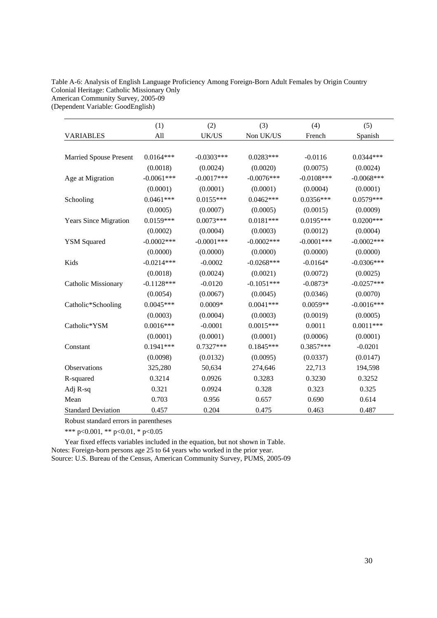# Table A-6: Analysis of English Language Proficiency Among Foreign-Born Adult Females by Origin Country Colonial Heritage: Catholic Missionary Only American Community Survey, 2005-09

(Dependent Variable: GoodEnglish)

|                               | (1)          | (2)           | (3)           | (4)           | (5)           |
|-------------------------------|--------------|---------------|---------------|---------------|---------------|
| <b>VARIABLES</b>              | All          | UK/US         | Non UK/US     | French        | Spanish       |
|                               |              |               |               |               |               |
| <b>Married Spouse Present</b> | $0.0164***$  | $-0.0303***$  | $0.0283***$   | $-0.0116$     | $0.0344***$   |
|                               | (0.0018)     | (0.0024)      | (0.0020)      | (0.0075)      | (0.0024)      |
| Age at Migration              | $-0.0061***$ | $-0.0017***$  | $-0.0076***$  | $-0.0108***$  | $-0.0068***$  |
|                               | (0.0001)     | (0.0001)      | (0.0001)      | (0.0004)      | (0.0001)      |
| Schooling                     | $0.0461***$  | $0.0155***$   | $0.0462***$   | $0.0356***$   | $0.0579***$   |
|                               | (0.0005)     | (0.0007)      | (0.0005)      | (0.0015)      | (0.0009)      |
| <b>Years Since Migration</b>  | $0.0159***$  | $0.0073***$   | $0.0181***$   | $0.0195***$   | $0.0200***$   |
|                               | (0.0002)     | (0.0004)      | (0.0003)      | (0.0012)      | (0.0004)      |
| <b>YSM Squared</b>            | $-0.0002***$ | $-0.0001$ *** | $-0.0002$ *** | $-0.0001$ *** | $-0.0002$ *** |
|                               | (0.0000)     | (0.0000)      | (0.0000)      | (0.0000)      | (0.0000)      |
| Kids                          | $-0.0214***$ | $-0.0002$     | $-0.0268***$  | $-0.0164*$    | $-0.0306***$  |
|                               | (0.0018)     | (0.0024)      | (0.0021)      | (0.0072)      | (0.0025)      |
| <b>Catholic Missionary</b>    | $-0.1128***$ | $-0.0120$     | $-0.1051***$  | $-0.0873*$    | $-0.0257***$  |
|                               | (0.0054)     | (0.0067)      | (0.0045)      | (0.0346)      | (0.0070)      |
| Catholic*Schooling            | $0.0045***$  | $0.0009*$     | $0.0041***$   | $0.0059**$    | $-0.0016***$  |
|                               | (0.0003)     | (0.0004)      | (0.0003)      | (0.0019)      | (0.0005)      |
| Catholic*YSM                  | $0.0016***$  | $-0.0001$     | $0.0015***$   | 0.0011        | $0.0011***$   |
|                               | (0.0001)     | (0.0001)      | (0.0001)      | (0.0006)      | (0.0001)      |
| Constant                      | $0.1941***$  | $0.7327***$   | $0.1845***$   | $0.3857***$   | $-0.0201$     |
|                               | (0.0098)     | (0.0132)      | (0.0095)      | (0.0337)      | (0.0147)      |
| Observations                  | 325,280      | 50,634        | 274,646       | 22,713        | 194,598       |
| R-squared                     | 0.3214       | 0.0926        | 0.3283        | 0.3230        | 0.3252        |
| Adj R-sq                      | 0.321        | 0.0924        | 0.328         | 0.323         | 0.325         |
| Mean                          | 0.703        | 0.956         | 0.657         | 0.690         | 0.614         |
| <b>Standard Deviation</b>     | 0.457        | 0.204         | 0.475         | 0.463         | 0.487         |

Robust standard errors in parentheses

\*\*\* p<0.001, \*\* p<0.01, \* p<0.05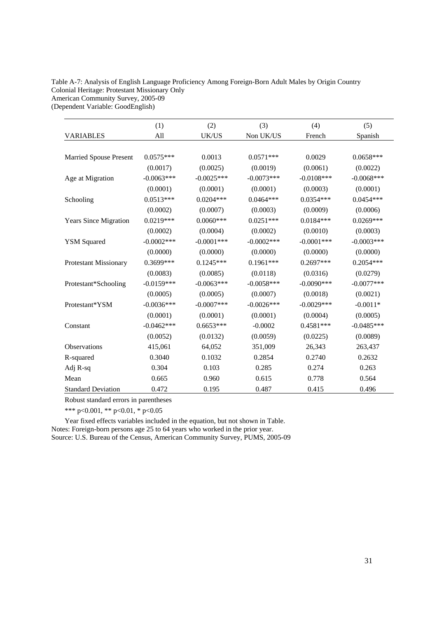#### Table A-7: Analysis of English Language Proficiency Among Foreign-Born Adult Males by Origin Country Colonial Heritage: Protestant Missionary Only American Community Survey, 2005-09 (Dependent Variable: GoodEnglish)

|                               | (1)          | (2)           | (3)           | (4)          | (5)          |
|-------------------------------|--------------|---------------|---------------|--------------|--------------|
| <b>VARIABLES</b>              | All          | UK/US         | Non UK/US     | French       | Spanish      |
| <b>Married Spouse Present</b> | $0.0575***$  | 0.0013        | $0.0571***$   | 0.0029       | $0.0658***$  |
|                               | (0.0017)     | (0.0025)      | (0.0019)      | (0.0061)     | (0.0022)     |
| Age at Migration              | $-0.0063***$ | $-0.0025***$  | $-0.0073***$  | $-0.0108***$ | $-0.0068***$ |
|                               | (0.0001)     | (0.0001)      | (0.0001)      | (0.0003)     | (0.0001)     |
| Schooling                     | $0.0513***$  | $0.0204***$   | $0.0464***$   | $0.0354***$  | $0.0454***$  |
|                               | (0.0002)     | (0.0007)      | (0.0003)      | (0.0009)     | (0.0006)     |
| <b>Years Since Migration</b>  | $0.0219***$  | $0.0060***$   | $0.0251***$   | $0.0184***$  | $0.0269***$  |
|                               | (0.0002)     | (0.0004)      | (0.0002)      | (0.0010)     | (0.0003)     |
| <b>YSM Squared</b>            | $-0.0002***$ | $-0.0001$ *** | $-0.0002$ *** | $-0.0001***$ | $-0.0003***$ |
|                               | (0.0000)     | (0.0000)      | (0.0000)      | (0.0000)     | (0.0000)     |
| <b>Protestant Missionary</b>  | 0.3699***    | $0.1245***$   | $0.1961***$   | $0.2697***$  | $0.2054***$  |
|                               | (0.0083)     | (0.0085)      | (0.0118)      | (0.0316)     | (0.0279)     |
| Protestant*Schooling          | $-0.0159***$ | $-0.0063***$  | $-0.0058***$  | $-0.0090***$ | $-0.0077***$ |
|                               | (0.0005)     | (0.0005)      | (0.0007)      | (0.0018)     | (0.0021)     |
| Protestant*YSM                | $-0.0036***$ | $-0.0007$ *** | $-0.0026$ *** | $-0.0029***$ | $-0.0011*$   |
|                               | (0.0001)     | (0.0001)      | (0.0001)      | (0.0004)     | (0.0005)     |
| Constant                      | $-0.0462***$ | $0.6653***$   | $-0.0002$     | $0.4581***$  | $-0.0485***$ |
|                               | (0.0052)     | (0.0132)      | (0.0059)      | (0.0225)     | (0.0089)     |
| Observations                  | 415,061      | 64,052        | 351,009       | 26,343       | 263,437      |
| R-squared                     | 0.3040       | 0.1032        | 0.2854        | 0.2740       | 0.2632       |
| Adj R-sq                      | 0.304        | 0.103         | 0.285         | 0.274        | 0.263        |
| Mean                          | 0.665        | 0.960         | 0.615         | 0.778        | 0.564        |
| <b>Standard Deviation</b>     | 0.472        | 0.195         | 0.487         | 0.415        | 0.496        |

Robust standard errors in parentheses

\*\*\* p<0.001, \*\* p<0.01, \* p<0.05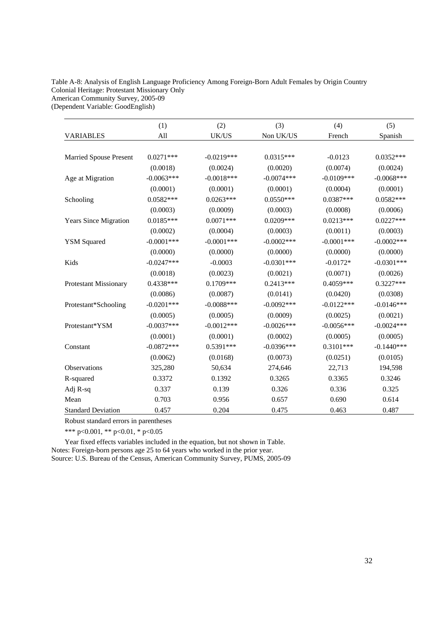# Table A-8: Analysis of English Language Proficiency Among Foreign-Born Adult Females by Origin Country Colonial Heritage: Protestant Missionary Only American Community Survey, 2005-09

(Dependent Variable: GoodEnglish)

|                               | (1)           | (2)          | (3)          | (4)           | (5)          |
|-------------------------------|---------------|--------------|--------------|---------------|--------------|
| <b>VARIABLES</b>              | All           | UK/US        | Non UK/US    | French        | Spanish      |
|                               |               |              |              |               |              |
| <b>Married Spouse Present</b> | $0.0271***$   | $-0.0219***$ | $0.0315***$  | $-0.0123$     | $0.0352***$  |
|                               | (0.0018)      | (0.0024)     | (0.0020)     | (0.0074)      | (0.0024)     |
| Age at Migration              | $-0.0063***$  | $-0.0018***$ | $-0.0074***$ | $-0.0109***$  | $-0.0068***$ |
|                               | (0.0001)      | (0.0001)     | (0.0001)     | (0.0004)      | (0.0001)     |
| Schooling                     | $0.0582***$   | $0.0263***$  | $0.0550***$  | $0.0387***$   | $0.0582***$  |
|                               | (0.0003)      | (0.0009)     | (0.0003)     | (0.0008)      | (0.0006)     |
| <b>Years Since Migration</b>  | $0.0185***$   | $0.0071***$  | $0.0209***$  | $0.0213***$   | $0.0227***$  |
|                               | (0.0002)      | (0.0004)     | (0.0003)     | (0.0011)      | (0.0003)     |
| <b>YSM</b> Squared            | $-0.0001$ *** | $-0.0001***$ | $-0.0002***$ | $-0.0001$ *** | $-0.0002***$ |
|                               | (0.0000)      | (0.0000)     | (0.0000)     | (0.0000)      | (0.0000)     |
| Kids                          | $-0.0247***$  | $-0.0003$    | $-0.0301***$ | $-0.0172*$    | $-0.0301***$ |
|                               | (0.0018)      | (0.0023)     | (0.0021)     | (0.0071)      | (0.0026)     |
| <b>Protestant Missionary</b>  | $0.4338***$   | $0.1709***$  | $0.2413***$  | $0.4059***$   | $0.3227***$  |
|                               | (0.0086)      | (0.0087)     | (0.0141)     | (0.0420)      | (0.0308)     |
| Protestant*Schooling          | $-0.0201***$  | $-0.0088***$ | $-0.0092***$ | $-0.0122***$  | $-0.0146***$ |
|                               | (0.0005)      | (0.0005)     | (0.0009)     | (0.0025)      | (0.0021)     |
| Protestant*YSM                | $-0.0037***$  | $-0.0012***$ | $-0.0026***$ | $-0.0056***$  | $-0.0024***$ |
|                               | (0.0001)      | (0.0001)     | (0.0002)     | (0.0005)      | (0.0005)     |
| Constant                      | $-0.0872***$  | $0.5391***$  | $-0.0396***$ | $0.3101***$   | $-0.1440***$ |
|                               | (0.0062)      | (0.0168)     | (0.0073)     | (0.0251)      | (0.0105)     |
| Observations                  | 325,280       | 50,634       | 274,646      | 22,713        | 194,598      |
| R-squared                     | 0.3372        | 0.1392       | 0.3265       | 0.3365        | 0.3246       |
| Adj R-sq                      | 0.337         | 0.139        | 0.326        | 0.336         | 0.325        |
| Mean                          | 0.703         | 0.956        | 0.657        | 0.690         | 0.614        |
| <b>Standard Deviation</b>     | 0.457         | 0.204        | 0.475        | 0.463         | 0.487        |

Robust standard errors in parentheses

\*\*\* p<0.001, \*\* p<0.01, \* p<0.05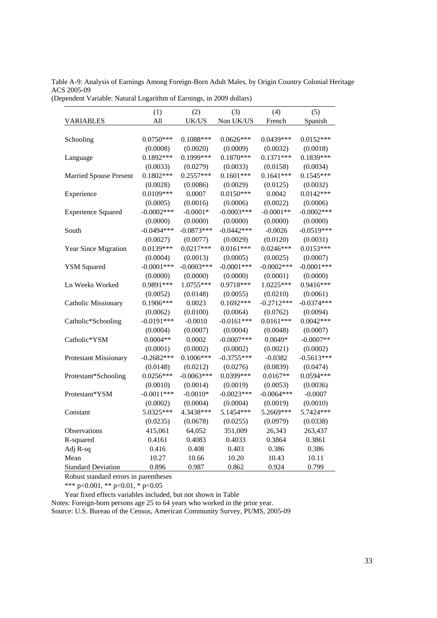Table A-9: Analysis of Earnings Among Foreign-Born Adult Males, by Origin Country Colonial Heritage ACS 2005-09

(Dependent Variable: Natural Logarithm of Earnings, in 2009 dollars)

|                                       | (1)           | (2)          | (3)           | (4)          | (5)          |
|---------------------------------------|---------------|--------------|---------------|--------------|--------------|
| <b>VARIABLES</b>                      | All           | UK/US        | Non UK/US     | French       | Spanish      |
|                                       |               |              |               |              |              |
| Schooling                             | $0.0750***$   | $0.1088***$  | $0.0626***$   | $0.0439***$  | $0.0152***$  |
|                                       | (0.0008)      | (0.0020)     | (0.0009)      | (0.0032)     | (0.0018)     |
| Language                              | $0.1892***$   | 0.1999***    | $0.1870***$   | $0.1371***$  | $0.1839***$  |
|                                       | (0.0033)      | (0.0279)     | (0.0033)      | (0.0158)     | (0.0034)     |
| <b>Married Spouse Present</b>         | $0.1802***$   | $0.2557***$  | $0.1601***$   | $0.1641***$  | $0.1545***$  |
|                                       | (0.0028)      | (0.0086)     | (0.0029)      | (0.0125)     | (0.0032)     |
| Experience                            | $0.0109***$   | 0.0007       | $0.0150***$   | 0.0042       | $0.0142***$  |
|                                       | (0.0005)      | (0.0016)     | (0.0006)      | (0.0022)     | (0.0006)     |
| <b>Experience Squared</b>             | $-0.0002$ *** | $-0.0001*$   | $-0.0003***$  | $-0.0001**$  | $-0.0002***$ |
|                                       | (0.0000)      | (0.0000)     | (0.0000)      | (0.0000)     | (0.0000)     |
| South                                 | $-0.0494***$  | $-0.0873***$ | $-0.0442***$  | $-0.0026$    | $-0.0519***$ |
|                                       | (0.0027)      | (0.0077)     | (0.0029)      | (0.0120)     | (0.0031)     |
| Year Since Migration                  | $0.0139***$   | $0.0217***$  | $0.0161***$   | $0.0246***$  | $0.0153***$  |
|                                       | (0.0004)      | (0.0013)     | (0.0005)      | (0.0025)     | (0.0007)     |
| <b>YSM</b> Squared                    | $-0.0001$ *** | $-0.0003***$ | $-0.0001***$  | $-0.0002***$ | $-0.0001***$ |
|                                       | (0.0000)      | (0.0000)     | (0.0000)      | (0.0001)     | (0.0000)     |
| Ln Weeks Worked                       | 0.9891***     | 1.0755***    | 0.9718***     | 1.0225***    | $0.9416***$  |
|                                       | (0.0052)      | (0.0148)     | (0.0055)      | (0.0210)     | (0.0061)     |
| Catholic Missionary                   | $0.1906***$   | 0.0023       | $0.1692***$   | $-0.2712***$ | $-0.0374***$ |
|                                       | (0.0062)      | (0.0100)     | (0.0064)      | (0.0762)     | (0.0094)     |
| Catholic*Schooling                    | $-0.0191***$  | $-0.0010$    | $-0.0161***$  | $0.0161***$  | $0.0042***$  |
|                                       | (0.0004)      | (0.0007)     | (0.0004)      | (0.0048)     | (0.0007)     |
| Catholic*YSM                          | $0.0004**$    | 0.0002       | $-0.0007$ *** | $0.0049*$    | $-0.0007**$  |
|                                       | (0.0001)      | (0.0002)     | (0.0002)      | (0.0021)     | (0.0002)     |
| Protestant Missionary                 | $-0.2682***$  | $0.1006***$  | $-0.3755***$  | $-0.0382$    | $-0.5613***$ |
|                                       | (0.0148)      | (0.0212)     | (0.0276)      | (0.0839)     | (0.0474)     |
| Protestant*Schooling                  | $0.0256***$   | $-0.0063***$ | 0.0399***     | $0.0167**$   | 0.0594 ***   |
|                                       | (0.0010)      | (0.0014)     | (0.0019)      | (0.0053)     | (0.0036)     |
| Protestant*YSM                        | $-0.0011***$  | $-0.0010*$   | $-0.0023***$  | $-0.0064***$ | $-0.0007$    |
|                                       | (0.0002)      | (0.0004)     | (0.0004)      | (0.0019)     | (0.0010)     |
| Constant                              | 5.0325***     | 4.3438***    | 5.1454***     | 5.2669***    | 5.7424 ***   |
|                                       | (0.0235)      | (0.0678)     | (0.0255)      | (0.0979)     | (0.0338)     |
| Observations                          | 415,061       | 64,052       | 351,009       | 26,343       | 263,437      |
| R-squared                             | 0.4161        | 0.4083       | 0.4033        | 0.3864       | 0.3861       |
| Adj R-sq                              | 0.416         | 0.408        | 0.403         | 0.386        | 0.386        |
| Mean                                  | 10.27         | 10.66        | 10.20         | 10.43        | 10.11        |
| <b>Standard Deviation</b>             | 0.896         | 0.987        | 0.862         | 0.924        | 0.799        |
| Robust standard errors in parentheses |               |              |               |              |              |
|                                       |               |              |               |              |              |

\*\*\* p<0.001, \*\* p<0.01, \* p<0.05

Year fixed effects variables included, but not shown in Table

Notes: Foreign-born persons age 25 to 64 years who worked in the prior year. Source: U.S. Bureau of the Census, American Community Survey, PUMS, 2005-09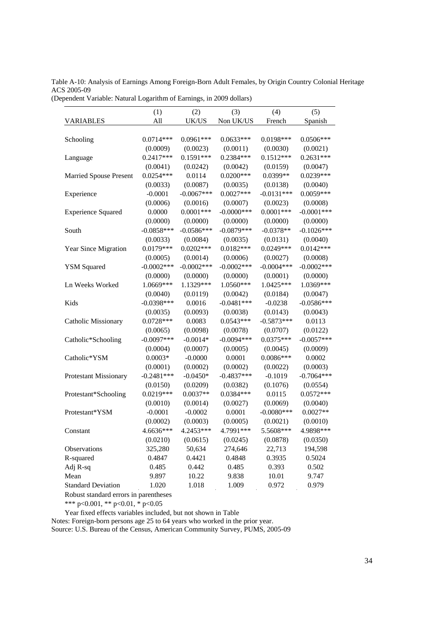Table A-10: Analysis of Earnings Among Foreign-Born Adult Females, by Origin Country Colonial Heritage ACS 2005-09

(Dependent Variable: Natural Logarithm of Earnings, in 2009 dollars)

|                               | (1)          | (2)           | (3)           | (4)          | (5)           |
|-------------------------------|--------------|---------------|---------------|--------------|---------------|
| <b>VARIABLES</b>              | All          | UK/US         | Non UK/US     | French       | Spanish       |
|                               |              |               |               |              |               |
| Schooling                     | $0.0714***$  | $0.0961***$   | $0.0633***$   | $0.0198***$  | $0.0506***$   |
|                               | (0.0009)     | (0.0023)      | (0.0011)      | (0.0030)     | (0.0021)      |
| Language                      | $0.2417***$  | $0.1591***$   | $0.2384***$   | $0.1512***$  | $0.2631***$   |
|                               | (0.0041)     | (0.0242)      | (0.0042)      | (0.0159)     | (0.0047)      |
| <b>Married Spouse Present</b> | $0.0254***$  | 0.0114        | $0.0200***$   | 0.0399**     | $0.0239***$   |
|                               | (0.0033)     | (0.0087)      | (0.0035)      | (0.0138)     | (0.0040)      |
| Experience                    | $-0.0001$    | $-0.0067***$  | $0.0027***$   | $-0.0131***$ | $0.0059***$   |
|                               | (0.0006)     | (0.0016)      | (0.0007)      | (0.0023)     | (0.0008)      |
| <b>Experience Squared</b>     | 0.0000       | $0.0001***$   | $-0.0000$ *** | $0.0001***$  | $-0.0001***$  |
|                               | (0.0000)     | (0.0000)      | (0.0000)      | (0.0000)     | (0.0000)      |
| South                         | $-0.0858***$ | $-0.0586***$  | $-0.0879***$  | $-0.0378**$  | $-0.1026***$  |
|                               | (0.0033)     | (0.0084)      | (0.0035)      | (0.0131)     | (0.0040)      |
| Year Since Migration          | $0.0179***$  | $0.0202***$   | $0.0182***$   | $0.0249***$  | $0.0142***$   |
|                               | (0.0005)     | (0.0014)      | (0.0006)      | (0.0027)     | (0.0008)      |
| <b>YSM</b> Squared            | $-0.0002***$ | $-0.0002$ *** | $-0.0002***$  | $-0.0004***$ | $-0.0002$ *** |
|                               | (0.0000)     | (0.0000)      | (0.0000)      | (0.0001)     | (0.0000)      |
| Ln Weeks Worked               | 1.0669***    | 1.1329***     | 1.0560***     | 1.0425***    | 1.0369***     |
|                               | (0.0040)     | (0.0119)      | (0.0042)      | (0.0184)     | (0.0047)      |
| Kids                          | $-0.0398***$ | 0.0016        | $-0.0481***$  | $-0.0238$    | $-0.0586***$  |
|                               | (0.0035)     | (0.0093)      | (0.0038)      | (0.0143)     | (0.0043)      |
| Catholic Missionary           | $0.0728***$  | 0.0083        | $0.0543***$   | $-0.5873***$ | 0.0113        |
|                               | (0.0065)     | (0.0098)      | (0.0078)      | (0.0707)     | (0.0122)      |
| Catholic*Schooling            | $-0.0097***$ | $-0.0014*$    | $-0.0094***$  | $0.0375***$  | $-0.0057***$  |
|                               | (0.0004)     | (0.0007)      | (0.0005)      | (0.0045)     | (0.0009)      |
| Catholic*YSM                  | $0.0003*$    | $-0.0000$     | 0.0001        | $0.0086***$  | 0.0002        |
|                               | (0.0001)     | (0.0002)      | (0.0002)      | (0.0022)     | (0.0003)      |
| <b>Protestant Missionary</b>  | $-0.2481***$ | $-0.0450*$    | $-0.4837***$  | $-0.1019$    | $-0.7064***$  |
|                               | (0.0150)     | (0.0209)      | (0.0382)      | (0.1076)     | (0.0554)      |
| Protestant*Schooling          | $0.0219***$  | $0.0037**$    | $0.0384***$   | 0.0115       | $0.0572***$   |
|                               | (0.0010)     | (0.0014)      | (0.0027)      | (0.0069)     | (0.0040)      |
| Protestant*YSM                | $-0.0001$    | $-0.0002$     | 0.0001        | $-0.0080***$ | $0.0027**$    |
|                               | (0.0002)     | (0.0003)      | (0.0005)      | (0.0021)     | (0.0010)      |
| Constant                      | 4.6636***    | 4.2453***     | 4.7991***     | 5.5608***    | 4.9898***     |
|                               | (0.0210)     | (0.0615)      | (0.0245)      | (0.0878)     | (0.0350)      |
| Observations                  | 325,280      | 50,634        | 274,646       | 22,713       | 194,598       |
| R-squared                     | 0.4847       | 0.4421        | 0.4848        | 0.3935       | 0.5024        |
| Adj R-sq                      | 0.485        | 0.442         | 0.485         | 0.393        | 0.502         |
| Mean                          | 9.897        | 10.22         | 9.838         | 10.01        | 9.747         |
| <b>Standard Deviation</b>     | 1.020        | 1.018         | 1.009         | 0.972        | 0.979         |

Robust standard errors in parentheses

\*\*\* p<0.001, \*\* p<0.01, \* p<0.05

Year fixed effects variables included, but not shown in Table

Notes: Foreign-born persons age 25 to 64 years who worked in the prior year.

Source: U.S. Bureau of the Census, American Community Survey, PUMS, 2005-09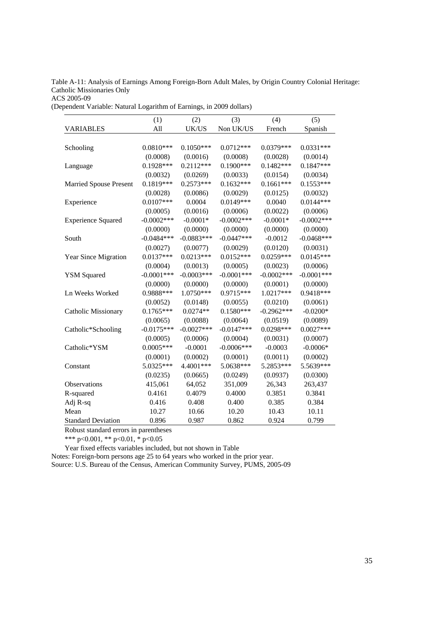Table A-11: Analysis of Earnings Among Foreign-Born Adult Males, by Origin Country Colonial Heritage: Catholic Missionaries Only

ACS 2005-09

(Dependent Variable: Natural Logarithm of Earnings, in 2009 dollars)

|                               | (1)           | (2)          | (3)           | (4)           | (5)          |
|-------------------------------|---------------|--------------|---------------|---------------|--------------|
| <b>VARIABLES</b>              | All           | UK/US        | Non UK/US     | French        | Spanish      |
|                               |               |              |               |               |              |
| Schooling                     | $0.0810***$   | $0.1050***$  | $0.0712***$   | 0.0379***     | $0.0331***$  |
|                               | (0.0008)      | (0.0016)     | (0.0008)      | (0.0028)      | (0.0014)     |
| Language                      | $0.1928***$   | $0.2112***$  | $0.1900***$   | $0.1482***$   | $0.1847***$  |
|                               | (0.0032)      | (0.0269)     | (0.0033)      | (0.0154)      | (0.0034)     |
| <b>Married Spouse Present</b> | $0.1819***$   | $0.2573***$  | $0.1632***$   | $0.1661***$   | $0.1553***$  |
|                               | (0.0028)      | (0.0086)     | (0.0029)      | (0.0125)      | (0.0032)     |
| Experience                    | $0.0107***$   | 0.0004       | $0.0149***$   | 0.0040        | $0.0144***$  |
|                               | (0.0005)      | (0.0016)     | (0.0006)      | (0.0022)      | (0.0006)     |
| <b>Experience Squared</b>     | $-0.0002***$  | $-0.0001*$   | $-0.0002$ *** | $-0.0001*$    | $-0.0002***$ |
|                               | (0.0000)      | (0.0000)     | (0.0000)      | (0.0000)      | (0.0000)     |
| South                         | $-0.0484***$  | $-0.0883***$ | $-0.0447***$  | $-0.0012$     | $-0.0468***$ |
|                               | (0.0027)      | (0.0077)     | (0.0029)      | (0.0120)      | (0.0031)     |
| Year Since Migration          | $0.0137***$   | $0.0213***$  | $0.0152***$   | $0.0259***$   | $0.0145***$  |
|                               | (0.0004)      | (0.0013)     | (0.0005)      | (0.0023)      | (0.0006)     |
| <b>YSM Squared</b>            | $-0.0001$ *** | $-0.0003***$ | $-0.0001$ *** | $-0.0002$ *** | $-0.0001***$ |
|                               | (0.0000)      | (0.0000)     | (0.0000)      | (0.0001)      | (0.0000)     |
| Ln Weeks Worked               | 0.9888***     | 1.0750***    | 0.9715***     | 1.0217***     | 0.9418***    |
|                               | (0.0052)      | (0.0148)     | (0.0055)      | (0.0210)      | (0.0061)     |
| Catholic Missionary           | $0.1765***$   | $0.0274**$   | $0.1580***$   | $-0.2962***$  | $-0.0200*$   |
|                               | (0.0065)      | (0.0088)     | (0.0064)      | (0.0519)      | (0.0089)     |
| Catholic*Schooling            | $-0.0175***$  | $-0.0027***$ | $-0.0147***$  | $0.0298***$   | $0.0027***$  |
|                               | (0.0005)      | (0.0006)     | (0.0004)      | (0.0031)      | (0.0007)     |
| Catholic*YSM                  | $0.0005***$   | $-0.0001$    | $-0.0006***$  | $-0.0003$     | $-0.0006*$   |
|                               | (0.0001)      | (0.0002)     | (0.0001)      | (0.0011)      | (0.0002)     |
| Constant                      | 5.0325***     | 4.4001***    | 5.0638***     | 5.2853***     | 5.5639***    |
|                               | (0.0235)      | (0.0665)     | (0.0249)      | (0.0937)      | (0.0300)     |
| Observations                  | 415,061       | 64,052       | 351,009       | 26,343        | 263,437      |
| R-squared                     | 0.4161        | 0.4079       | 0.4000        | 0.3851        | 0.3841       |
| Adj R-sq                      | 0.416         | 0.408        | 0.400         | 0.385         | 0.384        |
| Mean                          | 10.27         | 10.66        | 10.20         | 10.43         | 10.11        |
| <b>Standard Deviation</b>     | 0.896         | 0.987        | 0.862         | 0.924         | 0.799        |

Robust standard errors in parentheses

\*\*\* p<0.001, \*\* p<0.01, \* p<0.05

Year fixed effects variables included, but not shown in Table

Notes: Foreign-born persons age 25 to 64 years who worked in the prior year.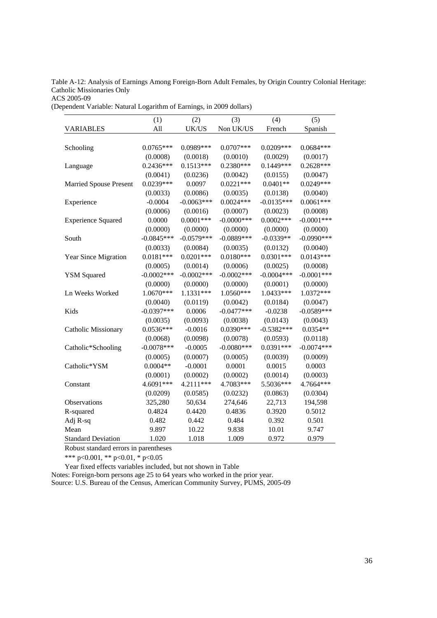Table A-12: Analysis of Earnings Among Foreign-Born Adult Females, by Origin Country Colonial Heritage: Catholic Missionaries Only

ACS 2005-09

(Dependent Variable: Natural Logarithm of Earnings, in 2009 dollars)

|                                       | (1)           | (2)          | (3)           | (4)          | (5)           |
|---------------------------------------|---------------|--------------|---------------|--------------|---------------|
| <b>VARIABLES</b>                      | All           | UK/US        | Non UK/US     | French       | Spanish       |
|                                       |               |              |               |              |               |
| Schooling                             | $0.0765***$   | 0.0989***    | $0.0707***$   | $0.0209***$  | $0.0684***$   |
|                                       | (0.0008)      | (0.0018)     | (0.0010)      | (0.0029)     | (0.0017)      |
| Language                              | $0.2436***$   | $0.1513***$  | $0.2380***$   | $0.1449***$  | $0.2628***$   |
|                                       | (0.0041)      | (0.0236)     | (0.0042)      | (0.0155)     | (0.0047)      |
| <b>Married Spouse Present</b>         | $0.0239***$   | 0.0097       | $0.0221***$   | $0.0401**$   | $0.0249***$   |
|                                       | (0.0033)      | (0.0086)     | (0.0035)      | (0.0138)     | (0.0040)      |
| Experience                            | $-0.0004$     | $-0.0063***$ | $0.0024***$   | $-0.0135***$ | $0.0061***$   |
|                                       | (0.0006)      | (0.0016)     | (0.0007)      | (0.0023)     | (0.0008)      |
| <b>Experience Squared</b>             | 0.0000        | $0.0001***$  | $-0.0000$ *** | $0.0002***$  | $-0.0001$ *** |
|                                       | (0.0000)      | (0.0000)     | (0.0000)      | (0.0000)     | (0.0000)      |
| South                                 | $-0.0845***$  | $-0.0579***$ | $-0.0889***$  | $-0.0339**$  | $-0.0990***$  |
|                                       | (0.0033)      | (0.0084)     | (0.0035)      | (0.0132)     | (0.0040)      |
| Year Since Migration                  | $0.0181***$   | $0.0201***$  | $0.0180***$   | $0.0301***$  | $0.0143***$   |
|                                       | (0.0005)      | (0.0014)     | (0.0006)      | (0.0025)     | (0.0008)      |
| <b>YSM Squared</b>                    | $-0.0002$ *** | $-0.0002***$ | $-0.0002***$  | $-0.0004***$ | $-0.0001$ *** |
|                                       | (0.0000)      | (0.0000)     | (0.0000)      | (0.0001)     | (0.0000)      |
| Ln Weeks Worked                       | 1.0670***     | $1.1331***$  | 1.0560***     | 1.0433***    | 1.0372***     |
|                                       | (0.0040)      | (0.0119)     | (0.0042)      | (0.0184)     | (0.0047)      |
| Kids                                  | $-0.0397***$  | 0.0006       | $-0.0477***$  | $-0.0238$    | $-0.0589***$  |
|                                       | (0.0035)      | (0.0093)     | (0.0038)      | (0.0143)     | (0.0043)      |
| <b>Catholic Missionary</b>            | $0.0536***$   | $-0.0016$    | $0.0390***$   | $-0.5382***$ | $0.0354**$    |
|                                       | (0.0068)      | (0.0098)     | (0.0078)      | (0.0593)     | (0.0118)      |
| Catholic*Schooling                    | $-0.0078***$  | $-0.0005$    | $-0.0080***$  | $0.0391***$  | $-0.0074***$  |
|                                       | (0.0005)      | (0.0007)     | (0.0005)      | (0.0039)     | (0.0009)      |
| Catholic*YSM                          | $0.0004**$    | $-0.0001$    | 0.0001        | 0.0015       | 0.0003        |
|                                       | (0.0001)      | (0.0002)     | (0.0002)      | (0.0014)     | (0.0003)      |
| Constant                              | 4.6091***     | 4.2111***    | 4.7083***     | 5.5036***    | 4.7664***     |
|                                       | (0.0209)      | (0.0585)     | (0.0232)      | (0.0863)     | (0.0304)      |
| Observations                          | 325,280       | 50,634       | 274,646       | 22,713       | 194,598       |
| R-squared                             | 0.4824        | 0.4420       | 0.4836        | 0.3920       | 0.5012        |
| Adj R-sq                              | 0.482         | 0.442        | 0.484         | 0.392        | 0.501         |
| Mean                                  | 9.897         | 10.22        | 9.838         | 10.01        | 9.747         |
| <b>Standard Deviation</b>             | 1.020         | 1.018        | 1.009         | 0.972        | 0.979         |
| Robust standard errors in parentheses |               |              |               |              |               |

\*\*\* p<0.001, \*\* p<0.01, \* p<0.05

Year fixed effects variables included, but not shown in Table

Notes: Foreign-born persons age 25 to 64 years who worked in the prior year. Source: U.S. Bureau of the Census, American Community Survey, PUMS, 2005-09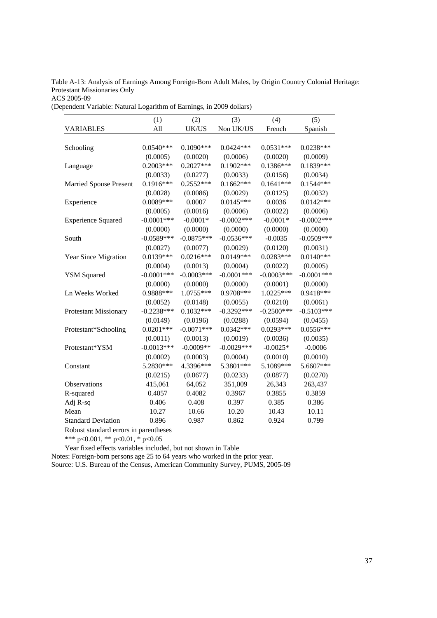Table A-13: Analysis of Earnings Among Foreign-Born Adult Males, by Origin Country Colonial Heritage: Protestant Missionaries Only

ACS 2005-09

(Dependent Variable: Natural Logarithm of Earnings, in 2009 dollars)

|                               | (1)           | (2)          | (3)           | (4)          | (5)          |
|-------------------------------|---------------|--------------|---------------|--------------|--------------|
| <b>VARIABLES</b>              | All           | UK/US        | Non UK/US     | French       | Spanish      |
|                               |               |              |               |              |              |
| Schooling                     | $0.0540***$   | $0.1090***$  | $0.0424***$   | $0.0531***$  | $0.0238***$  |
|                               | (0.0005)      | (0.0020)     | (0.0006)      | (0.0020)     | (0.0009)     |
| Language                      | $0.2003***$   | $0.2027***$  | $0.1902***$   | $0.1386***$  | $0.1839***$  |
|                               | (0.0033)      | (0.0277)     | (0.0033)      | (0.0156)     | (0.0034)     |
| <b>Married Spouse Present</b> | $0.1916***$   | $0.2552***$  | $0.1662***$   | $0.1641***$  | $0.1544***$  |
|                               | (0.0028)      | (0.0086)     | (0.0029)      | (0.0125)     | (0.0032)     |
| Experience                    | 0.0089***     | 0.0007       | $0.0145***$   | 0.0036       | $0.0142***$  |
|                               | (0.0005)      | (0.0016)     | (0.0006)      | (0.0022)     | (0.0006)     |
| <b>Experience Squared</b>     | $-0.0001$ *** | $-0.0001*$   | $-0.0002$ *** | $-0.0001*$   | $-0.0002***$ |
|                               | (0.0000)      | (0.0000)     | (0.0000)      | (0.0000)     | (0.0000)     |
| South                         | $-0.0589***$  | $-0.0875***$ | $-0.0536***$  | $-0.0035$    | $-0.0509***$ |
|                               | (0.0027)      | (0.0077)     | (0.0029)      | (0.0120)     | (0.0031)     |
| Year Since Migration          | $0.0139***$   | $0.0216***$  | $0.0149***$   | $0.0283***$  | $0.0140***$  |
|                               | (0.0004)      | (0.0013)     | (0.0004)      | (0.0022)     | (0.0005)     |
| <b>YSM Squared</b>            | $-0.0001$ *** | $-0.0003***$ | $-0.0001$ *** | $-0.0003***$ | $-0.0001***$ |
|                               | (0.0000)      | (0.0000)     | (0.0000)      | (0.0001)     | (0.0000)     |
| Ln Weeks Worked               | 0.9888***     | 1.0755***    | 0.9708***     | $1.0225***$  | 0.9418***    |
|                               | (0.0052)      | (0.0148)     | (0.0055)      | (0.0210)     | (0.0061)     |
| <b>Protestant Missionary</b>  | $-0.2238***$  | $0.1032***$  | $-0.3292***$  | $-0.2500***$ | $-0.5103***$ |
|                               | (0.0149)      | (0.0196)     | (0.0288)      | (0.0594)     | (0.0455)     |
| Protestant*Schooling          | $0.0201***$   | $-0.0071***$ | $0.0342***$   | $0.0293***$  | $0.0556***$  |
|                               | (0.0011)      | (0.0013)     | (0.0019)      | (0.0036)     | (0.0035)     |
| Protestant*YSM                | $-0.0013***$  | $-0.0009**$  | $-0.0029***$  | $-0.0025*$   | $-0.0006$    |
|                               | (0.0002)      | (0.0003)     | (0.0004)      | (0.0010)     | (0.0010)     |
| Constant                      | 5.2830***     | 4.3396***    | 5.3801***     | 5.1089***    | 5.6607***    |
|                               | (0.0215)      | (0.0677)     | (0.0233)      | (0.0877)     | (0.0270)     |
| Observations                  | 415,061       | 64,052       | 351,009       | 26,343       | 263,437      |
| R-squared                     | 0.4057        | 0.4082       | 0.3967        | 0.3855       | 0.3859       |
| Adj R-sq                      | 0.406         | 0.408        | 0.397         | 0.385        | 0.386        |
| Mean                          | 10.27         | 10.66        | 10.20         | 10.43        | 10.11        |
| <b>Standard Deviation</b>     | 0.896         | 0.987        | 0.862         | 0.924        | 0.799        |

Robust standard errors in parentheses

\*\*\* p<0.001, \*\* p<0.01, \* p<0.05

Year fixed effects variables included, but not shown in Table

Notes: Foreign-born persons age 25 to 64 years who worked in the prior year.